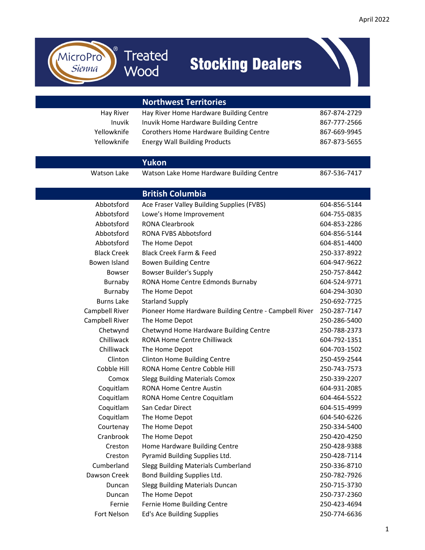

1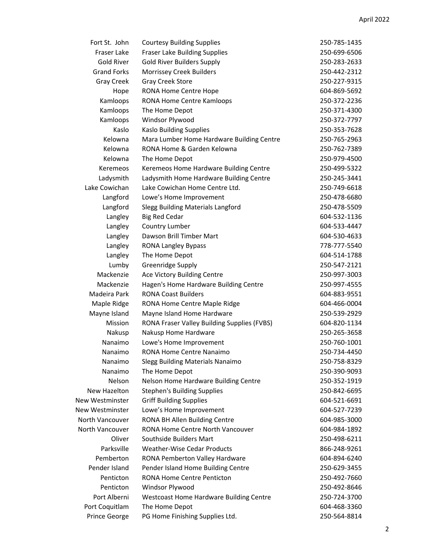| Fort St. John          | <b>Courtesy Building Supplies</b>           | 250-785-1435 |
|------------------------|---------------------------------------------|--------------|
| Fraser Lake            | Fraser Lake Building Supplies               | 250-699-6506 |
| <b>Gold River</b>      | <b>Gold River Builders Supply</b>           | 250-283-2633 |
| <b>Grand Forks</b>     | Morrissey Creek Builders                    | 250-442-2312 |
| <b>Gray Creek</b>      | Gray Creek Store                            | 250-227-9315 |
| Hope                   | RONA Home Centre Hope                       | 604-869-5692 |
| Kamloops               | RONA Home Centre Kamloops                   | 250-372-2236 |
| Kamloops               | The Home Depot                              | 250-371-4300 |
| Kamloops               | Windsor Plywood                             | 250-372-7797 |
| Kaslo                  | <b>Kaslo Building Supplies</b>              | 250-353-7628 |
| Kelowna                | Mara Lumber Home Hardware Building Centre   | 250-765-2963 |
| Kelowna                | RONA Home & Garden Kelowna                  | 250-762-7389 |
| Kelowna                | The Home Depot                              | 250-979-4500 |
| Keremeos               | Keremeos Home Hardware Building Centre      | 250-499-5322 |
| Ladysmith              | Ladysmith Home Hardware Building Centre     | 250-245-3441 |
| Lake Cowichan          | Lake Cowichan Home Centre Ltd.              | 250-749-6618 |
| Langford               | Lowe's Home Improvement                     | 250-478-6680 |
| Langford               | <b>Slegg Building Materials Langford</b>    | 250-478-5509 |
| Langley                | <b>Big Red Cedar</b>                        | 604-532-1136 |
| Langley                | Country Lumber                              | 604-533-4447 |
| Langley                | Dawson Brill Timber Mart                    | 604-530-4633 |
| Langley                | <b>RONA Langley Bypass</b>                  | 778-777-5540 |
| Langley                | The Home Depot                              | 604-514-1788 |
| Lumby                  | Greenridge Supply                           | 250-547-2121 |
| Mackenzie              | Ace Victory Building Centre                 | 250-997-3003 |
| Mackenzie              | Hagen's Home Hardware Building Centre       | 250-997-4555 |
| Madeira Park           | <b>RONA Coast Builders</b>                  | 604-883-9551 |
| Maple Ridge            | RONA Home Centre Maple Ridge                | 604-466-0004 |
| Mayne Island           | Mayne Island Home Hardware                  | 250-539-2929 |
| Mission                | RONA Fraser Valley Building Supplies (FVBS) | 604-820-1134 |
| Nakusp                 | Nakusp Home Hardware                        | 250-265-3658 |
| Nanaimo                | Lowe's Home Improvement                     | 250-760-1001 |
| Nanaimo                | RONA Home Centre Nanaimo                    | 250-734-4450 |
| Nanaimo                | Slegg Building Materials Nanaimo            | 250-758-8329 |
| Nanaimo                | The Home Depot                              | 250-390-9093 |
| Nelson                 | Nelson Home Hardware Building Centre        | 250-352-1919 |
| New Hazelton           | <b>Stephen's Building Supplies</b>          | 250-842-6695 |
| <b>New Westminster</b> | <b>Griff Building Supplies</b>              | 604-521-6691 |
| <b>New Westminster</b> | Lowe's Home Improvement                     | 604-527-7239 |
| North Vancouver        | RONA BH Allen Building Centre               | 604-985-3000 |
| North Vancouver        | RONA Home Centre North Vancouver            | 604-984-1892 |
| Oliver                 | Southside Builders Mart                     | 250-498-6211 |
| Parksville             | <b>Weather-Wise Cedar Products</b>          | 866-248-9261 |
| Pemberton              | RONA Pemberton Valley Hardware              | 604-894-6240 |
| Pender Island          | Pender Island Home Building Centre          | 250-629-3455 |
| Penticton              | <b>RONA Home Centre Penticton</b>           | 250-492-7660 |
| Penticton              | Windsor Plywood                             | 250-492-8646 |
| Port Alberni           | Westcoast Home Hardware Building Centre     | 250-724-3700 |
| Port Coquitlam         | The Home Depot                              | 604-468-3360 |
| Prince George          | PG Home Finishing Supplies Ltd.             | 250-564-8814 |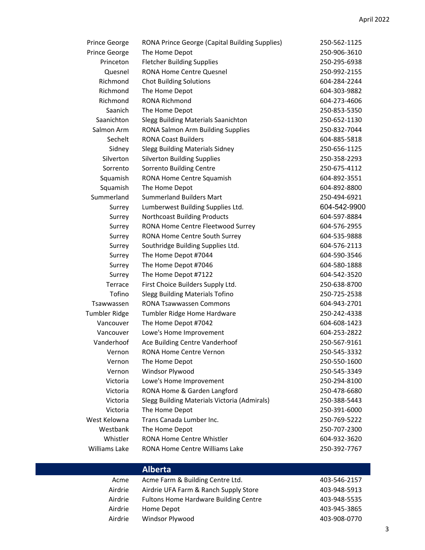| Prince George        | RONA Prince George (Capital Building Supplies) | 250-562-1125 |
|----------------------|------------------------------------------------|--------------|
| Prince George        | The Home Depot                                 | 250-906-3610 |
| Princeton            | <b>Fletcher Building Supplies</b>              | 250-295-6938 |
| Quesnel              | <b>RONA Home Centre Quesnel</b>                | 250-992-2155 |
| Richmond             | <b>Chot Building Solutions</b>                 | 604-284-2244 |
| Richmond             | The Home Depot                                 | 604-303-9882 |
| Richmond             | RONA Richmond                                  | 604-273-4606 |
| Saanich              | The Home Depot                                 | 250-853-5350 |
| Saanichton           | Slegg Building Materials Saanichton            | 250-652-1130 |
| Salmon Arm           | RONA Salmon Arm Building Supplies              | 250-832-7044 |
| Sechelt              | <b>RONA Coast Builders</b>                     | 604-885-5818 |
| Sidney               | <b>Slegg Building Materials Sidney</b>         | 250-656-1125 |
| Silverton            | <b>Silverton Building Supplies</b>             | 250-358-2293 |
| Sorrento             | Sorrento Building Centre                       | 250-675-4112 |
| Squamish             | RONA Home Centre Squamish                      | 604-892-3551 |
| Squamish             | The Home Depot                                 | 604-892-8800 |
| Summerland           | <b>Summerland Builders Mart</b>                | 250-494-6921 |
| Surrey               | Lumberwest Building Supplies Ltd.              | 604-542-9900 |
| Surrey               | <b>Northcoast Building Products</b>            | 604-597-8884 |
| Surrey               | RONA Home Centre Fleetwood Surrey              | 604-576-2955 |
| Surrey               | RONA Home Centre South Surrey                  | 604-535-9888 |
| Surrey               | Southridge Building Supplies Ltd.              | 604-576-2113 |
| Surrey               | The Home Depot #7044                           | 604-590-3546 |
| Surrey               | The Home Depot #7046                           | 604-580-1888 |
| Surrey               | The Home Depot #7122                           | 604-542-3520 |
| Terrace              | First Choice Builders Supply Ltd.              | 250-638-8700 |
| Tofino               | <b>Slegg Building Materials Tofino</b>         | 250-725-2538 |
| Tsawwassen           | <b>RONA Tsawwassen Commons</b>                 | 604-943-2701 |
| <b>Tumbler Ridge</b> | Tumbler Ridge Home Hardware                    | 250-242-4338 |
| Vancouver            | The Home Depot #7042                           | 604-608-1423 |
| Vancouver            | Lowe's Home Improvement                        | 604-253-2822 |
| Vanderhoof           | Ace Building Centre Vanderhoof                 | 250-567-9161 |
| Vernon               | <b>RONA Home Centre Vernon</b>                 | 250-545-3332 |
| Vernon               | The Home Depot                                 | 250-550-1600 |
| Vernon               | Windsor Plywood                                | 250-545-3349 |
| Victoria             | Lowe's Home Improvement                        | 250-294-8100 |
| Victoria             | RONA Home & Garden Langford                    | 250-478-6680 |
| Victoria             | Slegg Building Materials Victoria (Admirals)   | 250-388-5443 |
| Victoria             | The Home Depot                                 | 250-391-6000 |
| West Kelowna         | Trans Canada Lumber Inc.                       | 250-769-5222 |
| Westbank             | The Home Depot                                 | 250-707-2300 |
| Whistler             | RONA Home Centre Whistler                      | 604-932-3620 |
| Williams Lake        | RONA Home Centre Williams Lake                 | 250-392-7767 |

|         | <b>Alberta</b>                               |              |
|---------|----------------------------------------------|--------------|
| Acme    | Acme Farm & Building Centre Ltd.             | 403-546-2157 |
| Airdrie | Airdrie UFA Farm & Ranch Supply Store        | 403-948-5913 |
| Airdrie | <b>Fultons Home Hardware Building Centre</b> | 403-948-5535 |
| Airdrie | Home Depot                                   | 403-945-3865 |
| Airdrie | Windsor Plywood                              | 403-908-0770 |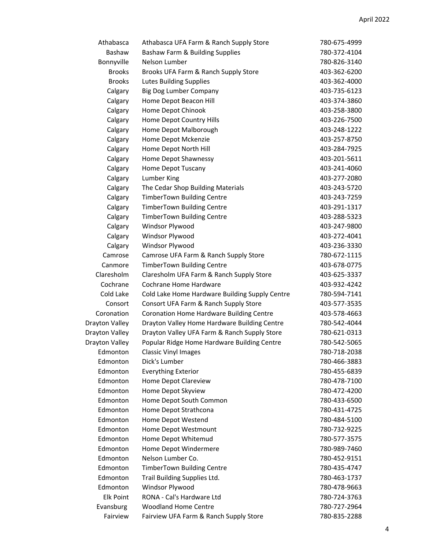| Athabasca        | Athabasca UFA Farm & Ranch Supply Store        | 780-675-4999 |
|------------------|------------------------------------------------|--------------|
| Bashaw           | Bashaw Farm & Building Supplies                | 780-372-4104 |
| Bonnyville       | Nelson Lumber                                  | 780-826-3140 |
| <b>Brooks</b>    | Brooks UFA Farm & Ranch Supply Store           | 403-362-6200 |
| <b>Brooks</b>    | <b>Lutes Building Supplies</b>                 | 403-362-4000 |
| Calgary          | Big Dog Lumber Company                         | 403-735-6123 |
| Calgary          | Home Depot Beacon Hill                         | 403-374-3860 |
| Calgary          | Home Depot Chinook                             | 403-258-3800 |
| Calgary          | Home Depot Country Hills                       | 403-226-7500 |
| Calgary          | Home Depot Malborough                          | 403-248-1222 |
| Calgary          | Home Depot Mckenzie                            | 403-257-8750 |
| Calgary          | Home Depot North Hill                          | 403-284-7925 |
| Calgary          | Home Depot Shawnessy                           | 403-201-5611 |
| Calgary          | Home Depot Tuscany                             | 403-241-4060 |
| Calgary          | Lumber King                                    | 403-277-2080 |
| Calgary          | The Cedar Shop Building Materials              | 403-243-5720 |
| Calgary          | <b>TimberTown Building Centre</b>              | 403-243-7259 |
| Calgary          | <b>TimberTown Building Centre</b>              | 403-291-1317 |
| Calgary          | <b>TimberTown Building Centre</b>              | 403-288-5323 |
| Calgary          | Windsor Plywood                                | 403-247-9800 |
| Calgary          | Windsor Plywood                                | 403-272-4041 |
| Calgary          | Windsor Plywood                                | 403-236-3330 |
| Camrose          | Camrose UFA Farm & Ranch Supply Store          | 780-672-1115 |
| Canmore          | <b>TimberTown Building Centre</b>              | 403-678-0775 |
| Claresholm       | Claresholm UFA Farm & Ranch Supply Store       | 403-625-3337 |
| Cochrane         | Cochrane Home Hardware                         | 403-932-4242 |
| Cold Lake        | Cold Lake Home Hardware Building Supply Centre | 780-594-7141 |
| Consort          | Consort UFA Farm & Ranch Supply Store          | 403-577-3535 |
| Coronation       | Coronation Home Hardware Building Centre       | 403-578-4663 |
| Drayton Valley   | Drayton Valley Home Hardware Building Centre   | 780-542-4044 |
| Drayton Valley   | Drayton Valley UFA Farm & Ranch Supply Store   | 780-621-0313 |
| Drayton Valley   | Popular Ridge Home Hardware Building Centre    | 780-542-5065 |
| Edmonton         | <b>Classic Vinyl Images</b>                    | 780-718-2038 |
| Edmonton         | Dick's Lumber                                  | 780-466-3883 |
| Edmonton         | <b>Everything Exterior</b>                     | 780-455-6839 |
| Edmonton         | Home Depot Clareview                           | 780-478-7100 |
| Edmonton         | Home Depot Skyview                             | 780-472-4200 |
| Edmonton         | Home Depot South Common                        | 780-433-6500 |
| Edmonton         | Home Depot Strathcona                          | 780-431-4725 |
| Edmonton         | Home Depot Westend                             | 780-484-5100 |
| Edmonton         | Home Depot Westmount                           | 780-732-9225 |
| Edmonton         | Home Depot Whitemud                            | 780-577-3575 |
| Edmonton         | Home Depot Windermere                          | 780-989-7460 |
| Edmonton         | Nelson Lumber Co.                              | 780-452-9151 |
| Edmonton         | TimberTown Building Centre                     | 780-435-4747 |
| Edmonton         | Trail Building Supplies Ltd.                   | 780-463-1737 |
| Edmonton         | Windsor Plywood                                | 780-478-9663 |
| <b>Elk Point</b> | RONA - Cal's Hardware Ltd                      | 780-724-3763 |
| Evansburg        | <b>Woodland Home Centre</b>                    | 780-727-2964 |
| Fairview         | Fairview UFA Farm & Ranch Supply Store         | 780-835-2288 |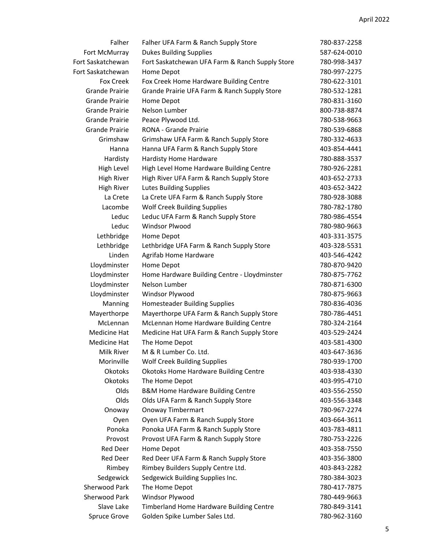| Falher                | Falher UFA Farm & Ranch Supply Store            | 780-837-2258 |
|-----------------------|-------------------------------------------------|--------------|
| Fort McMurray         | <b>Dukes Building Supplies</b>                  | 587-624-0010 |
| Fort Saskatchewan     | Fort Saskatchewan UFA Farm & Ranch Supply Store | 780-998-3437 |
| Fort Saskatchewan     | Home Depot                                      | 780-997-2275 |
| Fox Creek             | Fox Creek Home Hardware Building Centre         | 780-622-3101 |
| Grande Prairie        | Grande Prairie UFA Farm & Ranch Supply Store    | 780-532-1281 |
| Grande Prairie        | Home Depot                                      | 780-831-3160 |
| Grande Prairie        | Nelson Lumber                                   | 800-738-8874 |
| Grande Prairie        | Peace Plywood Ltd.                              | 780-538-9663 |
| <b>Grande Prairie</b> | RONA - Grande Prairie                           | 780-539-6868 |
| Grimshaw              | Grimshaw UFA Farm & Ranch Supply Store          | 780-332-4633 |
| Hanna                 | Hanna UFA Farm & Ranch Supply Store             | 403-854-4441 |
| Hardisty              | Hardisty Home Hardware                          | 780-888-3537 |
| High Level            | High Level Home Hardware Building Centre        | 780-926-2281 |
| <b>High River</b>     | High River UFA Farm & Ranch Supply Store        | 403-652-2733 |
| High River            | <b>Lutes Building Supplies</b>                  | 403-652-3422 |
| La Crete              | La Crete UFA Farm & Ranch Supply Store          | 780-928-3088 |
| Lacombe               | <b>Wolf Creek Building Supplies</b>             | 780-782-1780 |
| Leduc                 | Leduc UFA Farm & Ranch Supply Store             | 780-986-4554 |
| Leduc                 | <b>Windsor Plwood</b>                           | 780-980-9663 |
| Lethbridge            | Home Depot                                      | 403-331-3575 |
| Lethbridge            | Lethbridge UFA Farm & Ranch Supply Store        | 403-328-5531 |
| Linden                | Agrifab Home Hardware                           | 403-546-4242 |
| Lloydminster          | Home Depot                                      | 780-870-9420 |
| Lloydminster          | Home Hardware Building Centre - Lloydminster    | 780-875-7762 |
| Lloydminster          | Nelson Lumber                                   | 780-871-6300 |
| Lloydminster          | Windsor Plywood                                 | 780-875-9663 |
| Manning               | <b>Homesteader Building Supplies</b>            | 780-836-4036 |
| Mayerthorpe           | Mayerthorpe UFA Farm & Ranch Supply Store       | 780-786-4451 |
| McLennan              | McLennan Home Hardware Building Centre          | 780-324-2164 |
| Medicine Hat          | Medicine Hat UFA Farm & Ranch Supply Store      | 403-529-2424 |
| Medicine Hat          | The Home Depot                                  | 403-581-4300 |
| Milk River            | M & R Lumber Co. Ltd.                           | 403-647-3636 |
| Morinville            | <b>Wolf Creek Building Supplies</b>             | 780-939-1700 |
| Okotoks               | <b>Okotoks Home Hardware Building Centre</b>    | 403-938-4330 |
| <b>Okotoks</b>        | The Home Depot                                  | 403-995-4710 |
| Olds                  | <b>B&amp;M Home Hardware Building Centre</b>    | 403-556-2550 |
| Olds                  | Olds UFA Farm & Ranch Supply Store              | 403-556-3348 |
| Onoway                | <b>Onoway Timbermart</b>                        | 780-967-2274 |
| Oyen                  | Oyen UFA Farm & Ranch Supply Store              | 403-664-3611 |
| Ponoka                | Ponoka UFA Farm & Ranch Supply Store            | 403-783-4811 |
| Provost               | Provost UFA Farm & Ranch Supply Store           | 780-753-2226 |
| Red Deer              | Home Depot                                      | 403-358-7550 |
| Red Deer              | Red Deer UFA Farm & Ranch Supply Store          | 403-356-3800 |
| Rimbey                | Rimbey Builders Supply Centre Ltd.              | 403-843-2282 |
| Sedgewick             | Sedgewick Building Supplies Inc.                | 780-384-3023 |
| Sherwood Park         | The Home Depot                                  | 780-417-7875 |
| Sherwood Park         | Windsor Plywood                                 | 780-449-9663 |
| Slave Lake            | Timberland Home Hardware Building Centre        | 780-849-3141 |
| Spruce Grove          | Golden Spike Lumber Sales Ltd.                  | 780-962-3160 |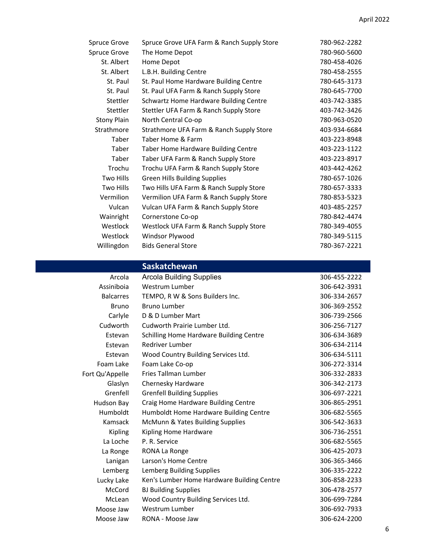| <b>Spruce Grove</b> | Spruce Grove UFA Farm & Ranch Supply Store | 780-962-2282 |
|---------------------|--------------------------------------------|--------------|
| <b>Spruce Grove</b> | The Home Depot                             | 780-960-5600 |
| St. Albert          | Home Depot                                 | 780-458-4026 |
| St. Albert          | L.B.H. Building Centre                     | 780-458-2555 |
| St. Paul            | St. Paul Home Hardware Building Centre     | 780-645-3173 |
| St. Paul            | St. Paul UFA Farm & Ranch Supply Store     | 780-645-7700 |
| Stettler            | Schwartz Home Hardware Building Centre     | 403-742-3385 |
| Stettler            | Stettler UFA Farm & Ranch Supply Store     | 403-742-3426 |
| <b>Stony Plain</b>  | North Central Co-op                        | 780-963-0520 |
| Strathmore          | Strathmore UFA Farm & Ranch Supply Store   | 403-934-6684 |
| Taber               | Taber Home & Farm                          | 403-223-8948 |
| Taber               | Taber Home Hardware Building Centre        | 403-223-1122 |
| Taber               | Taber UFA Farm & Ranch Supply Store        | 403-223-8917 |
| Trochu              | Trochu UFA Farm & Ranch Supply Store       | 403-442-4262 |
| Two Hills           | Green Hills Building Supplies              | 780-657-1026 |
| Two Hills           | Two Hills UFA Farm & Ranch Supply Store    | 780-657-3333 |
| Vermilion           | Vermilion UFA Farm & Ranch Supply Store    | 780-853-5323 |
| Vulcan              | Vulcan UFA Farm & Ranch Supply Store       | 403-485-2257 |
| Wainright           | Cornerstone Co-op                          | 780-842-4474 |
| Westlock            | Westlock UFA Farm & Ranch Supply Store     | 780-349-4055 |
| Westlock            | Windsor Plywood                            | 780-349-5115 |
| Willingdon          | <b>Bids General Store</b>                  | 780-367-2221 |

## **Saskatchewan**

| Arcola           | <b>Arcola Building Supplies</b>            | 306-455-2222 |
|------------------|--------------------------------------------|--------------|
| Assiniboia       | Westrum Lumber                             | 306-642-3931 |
| <b>Balcarres</b> | TEMPO, R W & Sons Builders Inc.            | 306-334-2657 |
| <b>Bruno</b>     | <b>Bruno Lumber</b>                        | 306-369-2552 |
| Carlyle          | D & D Lumber Mart                          | 306-739-2566 |
| Cudworth         | Cudworth Prairie Lumber Ltd.               | 306-256-7127 |
| Estevan          | Schilling Home Hardware Building Centre    | 306-634-3689 |
| Estevan          | Redriver Lumber                            | 306-634-2114 |
| Estevan          | Wood Country Building Services Ltd.        | 306-634-5111 |
| Foam Lake        | Foam Lake Co-op                            | 306-272-3314 |
| Fort Qu'Appelle  | Fries Tallman Lumber                       | 306-332-2833 |
| Glaslyn          | Chernesky Hardware                         | 306-342-2173 |
| Grenfell         | <b>Grenfell Building Supplies</b>          | 306-697-2221 |
| Hudson Bay       | Craig Home Hardware Building Centre        | 306-865-2951 |
| Humboldt         | Humboldt Home Hardware Building Centre     | 306-682-5565 |
| Kamsack          | McMunn & Yates Building Supplies           | 306-542-3633 |
| <b>Kipling</b>   | Kipling Home Hardware                      | 306-736-2551 |
| La Loche         | P. R. Service                              | 306-682-5565 |
| La Ronge         | RONA La Ronge                              | 306-425-2073 |
| Lanigan          | Larson's Home Centre                       | 306-365-3466 |
| Lemberg          | Lemberg Building Supplies                  | 306-335-2222 |
| Lucky Lake       | Ken's Lumber Home Hardware Building Centre | 306-858-2233 |
| McCord           | <b>BJ Building Supplies</b>                | 306-478-2577 |
| <b>McLean</b>    | Wood Country Building Services Ltd.        | 306-699-7284 |
| Moose Jaw        | Westrum Lumber                             | 306-692-7933 |
| Moose Jaw        | RONA - Moose Jaw                           | 306-624-2200 |

6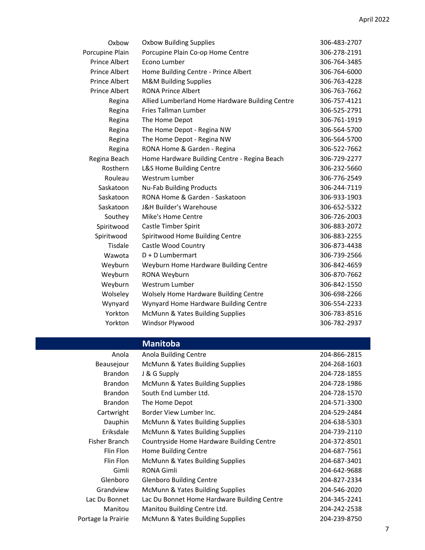| Oxbow                | <b>Oxbow Building Supplies</b>                  | 306-483-2707 |
|----------------------|-------------------------------------------------|--------------|
| Porcupine Plain      | Porcupine Plain Co-op Home Centre               | 306-278-2191 |
| Prince Albert        | Econo Lumber                                    | 306-764-3485 |
| <b>Prince Albert</b> | Home Building Centre - Prince Albert            | 306-764-6000 |
| <b>Prince Albert</b> | <b>M&amp;M Building Supplies</b>                | 306-763-4228 |
| <b>Prince Albert</b> | <b>RONA Prince Albert</b>                       | 306-763-7662 |
| Regina               | Allied Lumberland Home Hardware Building Centre | 306-757-4121 |
| Regina               | Fries Tallman Lumber                            | 306-525-2791 |
| Regina               | The Home Depot                                  | 306-761-1919 |
| Regina               | The Home Depot - Regina NW                      | 306-564-5700 |
| Regina               | The Home Depot - Regina NW                      | 306-564-5700 |
| Regina               | RONA Home & Garden - Regina                     | 306-522-7662 |
| Regina Beach         | Home Hardware Building Centre - Regina Beach    | 306-729-2277 |
| Rosthern             | L&S Home Building Centre                        | 306-232-5660 |
| Rouleau              | Westrum Lumber                                  | 306-776-2549 |
| Saskatoon            | <b>Nu-Fab Building Products</b>                 | 306-244-7119 |
| Saskatoon            | RONA Home & Garden - Saskatoon                  | 306-933-1903 |
| Saskatoon            | J&H Builder's Warehouse                         | 306-652-5322 |
| Southey              | Mike's Home Centre                              | 306-726-2003 |
| Spiritwood           | Castle Timber Spirit                            | 306-883-2072 |
| Spiritwood           | Spiritwood Home Building Centre                 | 306-883-2255 |
| Tisdale              | Castle Wood Country                             | 306-873-4438 |
| Wawota               | $D + D$ Lumbermart                              | 306-739-2566 |
| Weyburn              | Weyburn Home Hardware Building Centre           | 306-842-4659 |
| Weyburn              | RONA Weyburn                                    | 306-870-7662 |
| Weyburn              | Westrum Lumber                                  | 306-842-1550 |
| Wolseley             | Wolsely Home Hardware Building Centre           | 306-698-2266 |
| Wynyard              | Wynyard Home Hardware Building Centre           | 306-554-2233 |
| Yorkton              | McMunn & Yates Building Supplies                | 306-783-8516 |
| Yorkton              | Windsor Plywood                                 | 306-782-2937 |

## **Manitoba**

| Anola              | Anola Building Centre                       | 204-866-2815 |
|--------------------|---------------------------------------------|--------------|
| Beausejour         | McMunn & Yates Building Supplies            | 204-268-1603 |
| <b>Brandon</b>     | J & G Supply                                | 204-728-1855 |
| <b>Brandon</b>     | McMunn & Yates Building Supplies            | 204-728-1986 |
| <b>Brandon</b>     | South End Lumber Ltd.                       | 204-728-1570 |
| <b>Brandon</b>     | The Home Depot                              | 204-571-3300 |
| Cartwright         | Border View Lumber Inc.                     | 204-529-2484 |
| Dauphin            | McMunn & Yates Building Supplies            | 204-638-5303 |
| Eriksdale          | McMunn & Yates Building Supplies            | 204-739-2110 |
| Fisher Branch      | Countryside Home Hardware Building Centre   | 204-372-8501 |
| Flin Flon          | Home Building Centre                        | 204-687-7561 |
| Flin Flon          | McMunn & Yates Building Supplies            | 204-687-3401 |
| Gimli              | RONA Gimli                                  | 204-642-9688 |
| Glenboro           | <b>Glenboro Building Centre</b>             | 204-827-2334 |
| Grandview          | McMunn & Yates Building Supplies            | 204-546-2020 |
| Lac Du Bonnet      | Lac Du Bonnet Home Hardware Building Centre | 204-345-2241 |
| Manitou            | Manitou Building Centre Ltd.                | 204-242-2538 |
| Portage la Prairie | McMunn & Yates Building Supplies            | 204-239-8750 |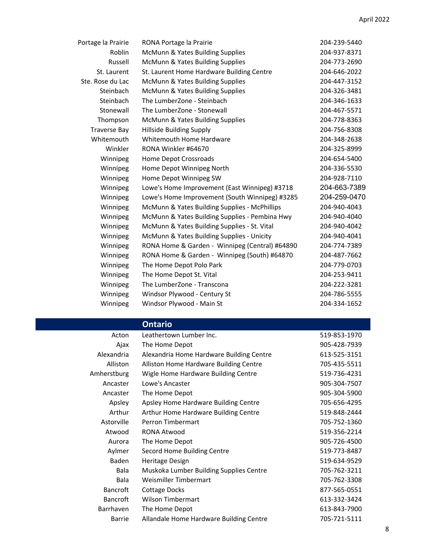| Portage la Prairie  | RONA Portage la Prairie                        | 204-239-5440 |
|---------------------|------------------------------------------------|--------------|
| Roblin              | McMunn & Yates Building Supplies               | 204-937-8371 |
| Russell             | McMunn & Yates Building Supplies               | 204-773-2690 |
| St. Laurent         | St. Laurent Home Hardware Building Centre      | 204-646-2022 |
| Ste. Rose du Lac    | McMunn & Yates Building Supplies               | 204-447-3152 |
| Steinbach           | McMunn & Yates Building Supplies               | 204-326-3481 |
| Steinbach           | The LumberZone - Steinbach                     | 204-346-1633 |
| Stonewall           | The LumberZone - Stonewall                     | 204-467-5571 |
| Thompson            | McMunn & Yates Building Supplies               | 204-778-8363 |
| <b>Traverse Bay</b> | <b>Hillside Building Supply</b>                | 204-756-8308 |
| Whitemouth          | Whitemouth Home Hardware                       | 204-348-2638 |
| Winkler             | RONA Winkler #64670                            | 204-325-8999 |
| Winnipeg            | Home Depot Crossroads                          | 204-654-5400 |
| Winnipeg            | Home Depot Winnipeg North                      | 204-336-5530 |
| Winnipeg            | Home Depot Winnipeg SW                         | 204-928-7110 |
| Winnipeg            | Lowe's Home Improvement (East Winnipeg) #3718  | 204-663-7389 |
| Winnipeg            | Lowe's Home Improvement (South Winnipeg) #3285 | 204-259-0470 |
| Winnipeg            | McMunn & Yates Building Supplies - McPhillips  | 204-940-4043 |
| Winnipeg            | McMunn & Yates Building Supplies - Pembina Hwy | 204-940-4040 |
| Winnipeg            | McMunn & Yates Building Supplies - St. Vital   | 204-940-4042 |
| Winnipeg            | McMunn & Yates Building Supplies - Unicity     | 204-940-4041 |
| Winnipeg            | RONA Home & Garden - Winnipeg (Central) #64890 | 204-774-7389 |
| Winnipeg            | RONA Home & Garden - Winnipeg (South) #64870   | 204-487-7662 |
| Winnipeg            | The Home Depot Polo Park                       | 204-779-0703 |
| Winnipeg            | The Home Depot St. Vital                       | 204-253-9411 |
| Winnipeg            | The LumberZone - Transcona                     | 204-222-3281 |
| Winnipeg            | Windsor Plywood - Century St                   | 204-786-5555 |
| Winnipeg            | Windsor Plywood - Main St                      | 204-334-1652 |

## **Ontario**

| Acton           | Leathertown Lumber Inc.                  | 519-853-1970 |
|-----------------|------------------------------------------|--------------|
| Ajax            | The Home Depot                           | 905-428-7939 |
| Alexandria      | Alexandria Home Hardware Building Centre | 613-525-3151 |
| Alliston        | Alliston Home Hardware Building Centre   | 705-435-5511 |
| Amherstburg     | Wigle Home Hardware Building Centre      | 519-736-4231 |
| Ancaster        | Lowe's Ancaster                          | 905-304-7507 |
| Ancaster        | The Home Depot                           | 905-304-5900 |
| Apsley          | Apsley Home Hardware Building Centre     | 705-656-4295 |
| Arthur          | Arthur Home Hardware Building Centre     | 519-848-2444 |
| Astorville      | Perron Timbermart                        | 705-752-1360 |
| Atwood          | RONA Atwood                              | 519-356-2214 |
| Aurora          | The Home Depot                           | 905-726-4500 |
| Aylmer          | Secord Home Building Centre              | 519-773-8487 |
| Baden           | Heritage Design                          | 519-634-9529 |
| Bala            | Muskoka Lumber Building Supplies Centre  | 705-762-3211 |
| Bala            | Weismiller Timbermart                    | 705-762-3308 |
| <b>Bancroft</b> | Cottage Docks                            | 877-565-0551 |
| <b>Bancroft</b> | <b>Wilson Timbermart</b>                 | 613-332-3424 |
| Barrhaven       | The Home Depot                           | 613-843-7900 |
| Barrie          | Allandale Home Hardware Building Centre  | 705-721-5111 |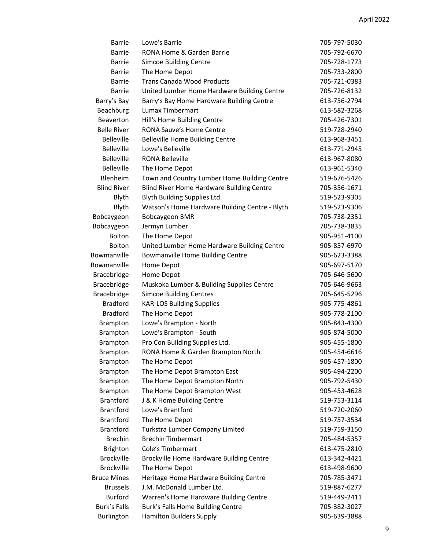| Barrie              | Lowe's Barrie                                  | 705-797-5030 |
|---------------------|------------------------------------------------|--------------|
| <b>Barrie</b>       | RONA Home & Garden Barrie                      | 705-792-6670 |
| Barrie              | <b>Simcoe Building Centre</b>                  | 705-728-1773 |
| <b>Barrie</b>       | The Home Depot                                 | 705-733-2800 |
| <b>Barrie</b>       | <b>Trans Canada Wood Products</b>              | 705-721-0383 |
| <b>Barrie</b>       | United Lumber Home Hardware Building Centre    | 705-726-8132 |
| Barry's Bay         | Barry's Bay Home Hardware Building Centre      | 613-756-2794 |
| Beachburg           | Lumax Timbermart                               | 613-582-3268 |
| Beaverton           | Hill's Home Building Centre                    | 705-426-7301 |
| <b>Belle River</b>  | <b>RONA Sauve's Home Centre</b>                | 519-728-2940 |
| <b>Belleville</b>   | <b>Belleville Home Building Centre</b>         | 613-968-3451 |
| <b>Belleville</b>   | Lowe's Belleville                              | 613-771-2945 |
| <b>Belleville</b>   | <b>RONA Belleville</b>                         | 613-967-8080 |
| <b>Belleville</b>   | The Home Depot                                 | 613-961-5340 |
| Blenheim            | Town and Country Lumber Home Building Centre   | 519-676-5426 |
| <b>Blind River</b>  | Blind River Home Hardware Building Centre      | 705-356-1671 |
| Blyth               | Blyth Building Supplies Ltd.                   | 519-523-9305 |
| Blyth               | Watson's Home Hardware Building Centre - Blyth | 519-523-9306 |
| Bobcaygeon          | <b>Bobcaygeon BMR</b>                          | 705-738-2351 |
| Bobcaygeon          | Jermyn Lumber                                  | 705-738-3835 |
| Bolton              | The Home Depot                                 | 905-951-4100 |
| <b>Bolton</b>       | United Lumber Home Hardware Building Centre    | 905-857-6970 |
| Bowmanville         | Bowmanville Home Building Centre               | 905-623-3388 |
| Bowmanville         | Home Depot                                     | 905-697-5170 |
| <b>Bracebridge</b>  | Home Depot                                     | 705-646-5600 |
| <b>Bracebridge</b>  | Muskoka Lumber & Building Supplies Centre      | 705-646-9663 |
| Bracebridge         | <b>Simcoe Building Centres</b>                 | 705-645-5296 |
| <b>Bradford</b>     | <b>KAR-LOS Building Supplies</b>               | 905-775-4861 |
| <b>Bradford</b>     | The Home Depot                                 | 905-778-2100 |
| <b>Brampton</b>     | Lowe's Brampton - North                        | 905-843-4300 |
| Brampton            | Lowe's Brampton - South                        | 905-874-5000 |
| Brampton            | Pro Con Building Supplies Ltd.                 | 905-455-1800 |
| <b>Brampton</b>     | RONA Home & Garden Brampton North              | 905-454-6616 |
| Brampton            | The Home Depot                                 | 905-457-1800 |
| Brampton            | The Home Depot Brampton East                   | 905-494-2200 |
| Brampton            | The Home Depot Brampton North                  | 905-792-5430 |
| Brampton            | The Home Depot Brampton West                   | 905-453-4628 |
| <b>Brantford</b>    | J & K Home Building Centre                     | 519-753-3114 |
| <b>Brantford</b>    | Lowe's Brantford                               | 519-720-2060 |
| <b>Brantford</b>    | The Home Depot                                 | 519-757-3534 |
| <b>Brantford</b>    | Turkstra Lumber Company Limited                | 519-759-3150 |
| <b>Brechin</b>      | <b>Brechin Timbermart</b>                      | 705-484-5357 |
| <b>Brighton</b>     | Cole's Timbermart                              | 613-475-2810 |
| <b>Brockville</b>   | Brockville Home Hardware Building Centre       | 613-342-4421 |
| <b>Brockville</b>   | The Home Depot                                 | 613-498-9600 |
| <b>Bruce Mines</b>  | Heritage Home Hardware Building Centre         | 705-785-3471 |
| <b>Brussels</b>     | J.M. McDonald Lumber Ltd.                      | 519-887-6277 |
| <b>Burford</b>      | Warren's Home Hardware Building Centre         | 519-449-2411 |
| <b>Burk's Falls</b> | Burk's Falls Home Building Centre              | 705-382-3027 |
| Burlington          | <b>Hamilton Builders Supply</b>                | 905-639-3888 |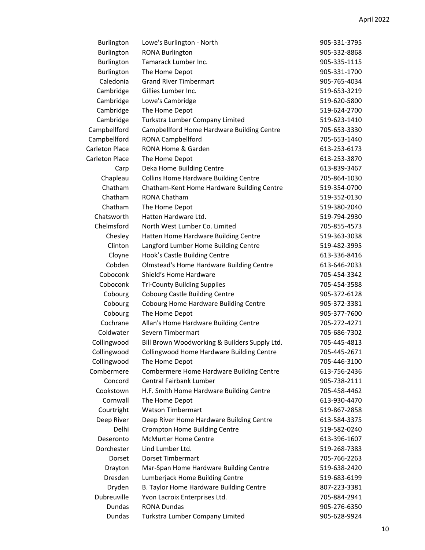| <b>Burlington</b>     | Lowe's Burlington - North                       | 905-331-3795 |
|-----------------------|-------------------------------------------------|--------------|
| Burlington            | <b>RONA Burlington</b>                          | 905-332-8868 |
| Burlington            | Tamarack Lumber Inc.                            | 905-335-1115 |
| Burlington            | The Home Depot                                  | 905-331-1700 |
| Caledonia             | <b>Grand River Timbermart</b>                   | 905-765-4034 |
| Cambridge             | Gillies Lumber Inc.                             | 519-653-3219 |
| Cambridge             | Lowe's Cambridge                                | 519-620-5800 |
| Cambridge             | The Home Depot                                  | 519-624-2700 |
| Cambridge             | Turkstra Lumber Company Limited                 | 519-623-1410 |
| Campbellford          | Campbellford Home Hardware Building Centre      | 705-653-3330 |
| Campbellford          | <b>RONA Campbellford</b>                        | 705-653-1440 |
| Carleton Place        | RONA Home & Garden                              | 613-253-6173 |
| <b>Carleton Place</b> | The Home Depot                                  | 613-253-3870 |
| Carp                  | Deka Home Building Centre                       | 613-839-3467 |
| Chapleau              | <b>Collins Home Hardware Building Centre</b>    | 705-864-1030 |
| Chatham               | Chatham-Kent Home Hardware Building Centre      | 519-354-0700 |
| Chatham               | <b>RONA Chatham</b>                             | 519-352-0130 |
| Chatham               | The Home Depot                                  | 519-380-2040 |
| Chatsworth            | Hatten Hardware Ltd.                            | 519-794-2930 |
| Chelmsford            | North West Lumber Co. Limited                   | 705-855-4573 |
| Chesley               | Hatten Home Hardware Building Centre            | 519-363-3038 |
| Clinton               | Langford Lumber Home Building Centre            | 519-482-3995 |
| Cloyne                | Hook's Castle Building Centre                   | 613-336-8416 |
| Cobden                | <b>Olmstead's Home Hardware Building Centre</b> | 613-646-2033 |
| Coboconk              | Shield's Home Hardware                          | 705-454-3342 |
| Coboconk              | <b>Tri-County Building Supplies</b>             | 705-454-3588 |
| Cobourg               | <b>Cobourg Castle Building Centre</b>           | 905-372-6128 |
| Cobourg               | Cobourg Home Hardware Building Centre           | 905-372-3381 |
| Cobourg               | The Home Depot                                  | 905-377-7600 |
| Cochrane              | Allan's Home Hardware Building Centre           | 705-272-4271 |
| Coldwater             | Severn Timbermart                               | 705-686-7302 |
| Collingwood           | Bill Brown Woodworking & Builders Supply Ltd.   | 705-445-4813 |
| Collingwood           | Collingwood Home Hardware Building Centre       | 705-445-2671 |
| Collingwood           | The Home Depot                                  | 705-446-3100 |
| Combermere            | Combermere Home Hardware Building Centre        | 613-756-2436 |
| Concord               | Central Fairbank Lumber                         | 905-738-2111 |
| Cookstown             | H.F. Smith Home Hardware Building Centre        | 705-458-4462 |
| Cornwall              | The Home Depot                                  | 613-930-4470 |
| Courtright            | <b>Watson Timbermart</b>                        | 519-867-2858 |
| Deep River            | Deep River Home Hardware Building Centre        | 613-584-3375 |
| Delhi                 | <b>Crompton Home Building Centre</b>            | 519-582-0240 |
| Deseronto             | <b>McMurter Home Centre</b>                     | 613-396-1607 |
| Dorchester            | Lind Lumber Ltd.                                | 519-268-7383 |
| Dorset                | <b>Dorset Timbermart</b>                        | 705-766-2263 |
| Drayton               | Mar-Span Home Hardware Building Centre          | 519-638-2420 |
| Dresden               | Lumberjack Home Building Centre                 | 519-683-6199 |
| Dryden                | B. Taylor Home Hardware Building Centre         | 807-223-3381 |
| Dubreuville           | Yvon Lacroix Enterprises Ltd.                   | 705-884-2941 |
| <b>Dundas</b>         | <b>RONA Dundas</b>                              | 905-276-6350 |
| Dundas                | Turkstra Lumber Company Limited                 | 905-628-9924 |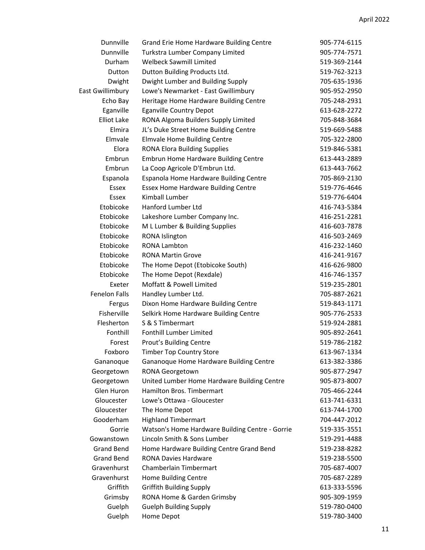| Dunnville               | Grand Erie Home Hardware Building Centre        | 905-774-6115 |
|-------------------------|-------------------------------------------------|--------------|
| Dunnville               | Turkstra Lumber Company Limited                 | 905-774-7571 |
| Durham                  | <b>Welbeck Sawmill Limited</b>                  | 519-369-2144 |
| Dutton                  | Dutton Building Products Ltd.                   | 519-762-3213 |
| Dwight                  | Dwight Lumber and Building Supply               | 705-635-1936 |
| <b>East Gwillimbury</b> | Lowe's Newmarket - East Gwillimbury             | 905-952-2950 |
| Echo Bay                | Heritage Home Hardware Building Centre          | 705-248-2931 |
| Eganville               | <b>Eganville Country Depot</b>                  | 613-628-2272 |
| <b>Elliot Lake</b>      | RONA Algoma Builders Supply Limited             | 705-848-3684 |
| Elmira                  | JL's Duke Street Home Building Centre           | 519-669-5488 |
| Elmvale                 | <b>Elmvale Home Building Centre</b>             | 705-322-2800 |
| Elora                   | <b>RONA Elora Building Supplies</b>             | 519-846-5381 |
| Embrun                  | <b>Embrun Home Hardware Building Centre</b>     | 613-443-2889 |
| Embrun                  | La Coop Agricole D'Embrun Ltd.                  | 613-443-7662 |
| Espanola                | Espanola Home Hardware Building Centre          | 705-869-2130 |
| Essex                   | <b>Essex Home Hardware Building Centre</b>      | 519-776-4646 |
| Essex                   | Kimball Lumber                                  | 519-776-6404 |
| Etobicoke               | Hanford Lumber Ltd                              | 416-743-5384 |
| Etobicoke               | Lakeshore Lumber Company Inc.                   | 416-251-2281 |
| Etobicoke               | M L Lumber & Building Supplies                  | 416-603-7878 |
| Etobicoke               | RONA Islington                                  | 416-503-2469 |
| Etobicoke               | <b>RONA Lambton</b>                             | 416-232-1460 |
| Etobicoke               | <b>RONA Martin Grove</b>                        | 416-241-9167 |
| Etobicoke               | The Home Depot (Etobicoke South)                | 416-626-9800 |
| Etobicoke               | The Home Depot (Rexdale)                        | 416-746-1357 |
| Exeter                  | Moffatt & Powell Limited                        | 519-235-2801 |
| <b>Fenelon Falls</b>    | Handley Lumber Ltd.                             | 705-887-2621 |
| Fergus                  | Dixon Home Hardware Building Centre             | 519-843-1171 |
| Fisherville             | Selkirk Home Hardware Building Centre           | 905-776-2533 |
| Flesherton              | S & S Timbermart                                | 519-924-2881 |
| Fonthill                | Fonthill Lumber Limited                         | 905-892-2641 |
| Forest                  | Prout's Building Centre                         | 519-786-2182 |
| Foxboro                 | <b>Timber Top Country Store</b>                 | 613-967-1334 |
| Gananoque               | Gananoque Home Hardware Building Centre         | 613-382-3386 |
| Georgetown              | RONA Georgetown                                 | 905-877-2947 |
| Georgetown              | United Lumber Home Hardware Building Centre     | 905-873-8007 |
| Glen Huron              | Hamilton Bros. Timbermart                       | 705-466-2244 |
| Gloucester              | Lowe's Ottawa - Gloucester                      | 613-741-6331 |
| Gloucester              | The Home Depot                                  | 613-744-1700 |
| Gooderham               | <b>Highland Timbermart</b>                      | 704-447-2012 |
| Gorrie                  | Watson's Home Hardware Building Centre - Gorrie | 519-335-3551 |
| Gowanstown              | Lincoln Smith & Sons Lumber                     | 519-291-4488 |
| <b>Grand Bend</b>       | Home Hardware Building Centre Grand Bend        | 519-238-8282 |
| <b>Grand Bend</b>       | <b>RONA Davies Hardware</b>                     | 519-238-5500 |
| Gravenhurst             | Chamberlain Timbermart                          | 705-687-4007 |
| Gravenhurst             | Home Building Centre                            | 705-687-2289 |
| Griffith                | <b>Griffith Building Supply</b>                 | 613-333-5596 |
| Grimsby                 | RONA Home & Garden Grimsby                      | 905-309-1959 |
| Guelph                  | <b>Guelph Building Supply</b>                   | 519-780-0400 |
| Guelph                  | Home Depot                                      | 519-780-3400 |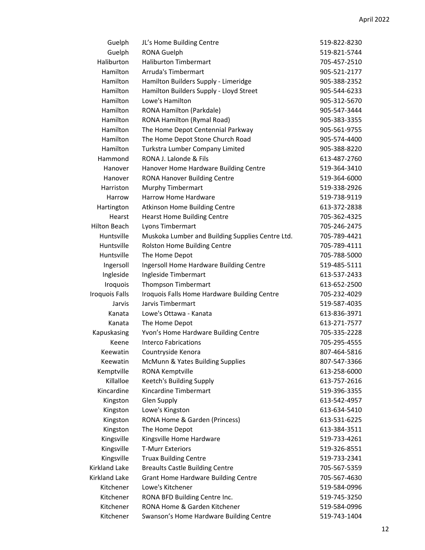| Guelph                | JL's Home Building Centre                        | 519-822-8230 |
|-----------------------|--------------------------------------------------|--------------|
| Guelph                | <b>RONA Guelph</b>                               | 519-821-5744 |
| Haliburton            | <b>Haliburton Timbermart</b>                     | 705-457-2510 |
| Hamilton              | Arruda's Timbermart                              | 905-521-2177 |
| Hamilton              | Hamilton Builders Supply - Limeridge             | 905-388-2352 |
| Hamilton              | Hamilton Builders Supply - Lloyd Street          | 905-544-6233 |
| Hamilton              | Lowe's Hamilton                                  | 905-312-5670 |
| Hamilton              | RONA Hamilton (Parkdale)                         | 905-547-3444 |
| Hamilton              | RONA Hamilton (Rymal Road)                       | 905-383-3355 |
| Hamilton              | The Home Depot Centennial Parkway                | 905-561-9755 |
| Hamilton              | The Home Depot Stone Church Road                 | 905-574-4400 |
| Hamilton              | Turkstra Lumber Company Limited                  | 905-388-8220 |
| Hammond               | RONA J. Lalonde & Fils                           | 613-487-2760 |
| Hanover               | Hanover Home Hardware Building Centre            | 519-364-3410 |
| Hanover               | <b>RONA Hanover Building Centre</b>              | 519-364-6000 |
| Harriston             | <b>Murphy Timbermart</b>                         | 519-338-2926 |
| Harrow                | Harrow Home Hardware                             | 519-738-9119 |
| Hartington            | <b>Atkinson Home Building Centre</b>             | 613-372-2838 |
| Hearst                | <b>Hearst Home Building Centre</b>               | 705-362-4325 |
| <b>Hilton Beach</b>   | Lyons Timbermart                                 | 705-246-2475 |
| Huntsville            | Muskoka Lumber and Building Supplies Centre Ltd. | 705-789-4421 |
| Huntsville            | Rolston Home Building Centre                     | 705-789-4111 |
| Huntsville            | The Home Depot                                   | 705-788-5000 |
| Ingersoll             | Ingersoll Home Hardware Building Centre          | 519-485-5111 |
| Ingleside             | Ingleside Timbermart                             | 613-537-2433 |
| Iroquois              | <b>Thompson Timbermart</b>                       | 613-652-2500 |
| <b>Iroquois Falls</b> | Iroquois Falls Home Hardware Building Centre     | 705-232-4029 |
| Jarvis                | Jarvis Timbermart                                | 519-587-4035 |
| Kanata                | Lowe's Ottawa - Kanata                           | 613-836-3971 |
| Kanata                | The Home Depot                                   | 613-271-7577 |
| Kapuskasing           | Yvon's Home Hardware Building Centre             | 705-335-2228 |
| Keene                 | <b>Interco Fabrications</b>                      | 705-295-4555 |
| Keewatin              | Countryside Kenora                               | 807-464-5816 |
| Keewatin              | McMunn & Yates Building Supplies                 | 807-547-3366 |
| Kemptville            | RONA Kemptville                                  | 613-258-6000 |
| Killalloe             | Keetch's Building Supply                         | 613-757-2616 |
| Kincardine            | Kincardine Timbermart                            | 519-396-3355 |
| Kingston              | <b>Glen Supply</b>                               | 613-542-4957 |
| Kingston              | Lowe's Kingston                                  | 613-634-5410 |
| Kingston              | RONA Home & Garden (Princess)                    | 613-531-6225 |
| Kingston              | The Home Depot                                   | 613-384-3511 |
| Kingsville            | Kingsville Home Hardware                         | 519-733-4261 |
| Kingsville            | <b>T-Murr Exteriors</b>                          | 519-326-8551 |
| Kingsville            | <b>Truax Building Centre</b>                     | 519-733-2341 |
| Kirkland Lake         | <b>Breaults Castle Building Centre</b>           | 705-567-5359 |
| Kirkland Lake         | <b>Grant Home Hardware Building Centre</b>       | 705-567-4630 |
| Kitchener             | Lowe's Kitchener                                 | 519-584-0996 |
| Kitchener             | RONA BFD Building Centre Inc.                    | 519-745-3250 |
| Kitchener             | RONA Home & Garden Kitchener                     | 519-584-0996 |
| Kitchener             | Swanson's Home Hardware Building Centre          | 519-743-1404 |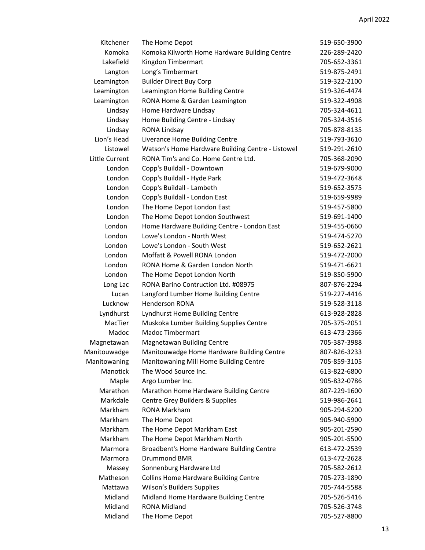| Kitchener      | The Home Depot                                    | 519-650-3900 |
|----------------|---------------------------------------------------|--------------|
| Komoka         | Komoka Kilworth Home Hardware Building Centre     | 226-289-2420 |
| Lakefield      | Kingdon Timbermart                                | 705-652-3361 |
| Langton        | Long's Timbermart                                 | 519-875-2491 |
| Leamington     | <b>Builder Direct Buy Corp</b>                    | 519-322-2100 |
| Leamington     | Leamington Home Building Centre                   | 519-326-4474 |
| Leamington     | RONA Home & Garden Leamington                     | 519-322-4908 |
| Lindsay        | Home Hardware Lindsay                             | 705-324-4611 |
| Lindsay        | Home Building Centre - Lindsay                    | 705-324-3516 |
| Lindsay        | <b>RONA Lindsay</b>                               | 705-878-8135 |
| Lion's Head    | Liverance Home Building Centre                    | 519-793-3610 |
| Listowel       | Watson's Home Hardware Building Centre - Listowel | 519-291-2610 |
| Little Current | RONA Tim's and Co. Home Centre Ltd.               | 705-368-2090 |
| London         | Copp's Buildall - Downtown                        | 519-679-9000 |
| London         | Copp's Buildall - Hyde Park                       | 519-472-3648 |
| London         | Copp's Buildall - Lambeth                         | 519-652-3575 |
| London         | Copp's Buildall - London East                     | 519-659-9989 |
| London         | The Home Depot London East                        | 519-457-5800 |
| London         | The Home Depot London Southwest                   | 519-691-1400 |
| London         | Home Hardware Building Centre - London East       | 519-455-0660 |
| London         | Lowe's London - North West                        | 519-474-5270 |
| London         | Lowe's London - South West                        | 519-652-2621 |
| London         | Moffatt & Powell RONA London                      | 519-472-2000 |
| London         | RONA Home & Garden London North                   | 519-471-6621 |
| London         | The Home Depot London North                       | 519-850-5900 |
| Long Lac       | RONA Barino Contruction Ltd. #08975               | 807-876-2294 |
| Lucan          | Langford Lumber Home Building Centre              | 519-227-4416 |
| Lucknow        | <b>Henderson RONA</b>                             | 519-528-3118 |
| Lyndhurst      | Lyndhurst Home Building Centre                    | 613-928-2828 |
| MacTier        | Muskoka Lumber Building Supplies Centre           | 705-375-2051 |
| Madoc          | <b>Madoc Timbermart</b>                           | 613-473-2366 |
| Magnetawan     | Magnetawan Building Centre                        | 705-387-3988 |
| Manitouwadge   | Manitouwadge Home Hardware Building Centre        | 807-826-3233 |
| Manitowaning   | Manitowaning Mill Home Building Centre            | 705-859-3105 |
| Manotick       | The Wood Source Inc.                              | 613-822-6800 |
| Maple          | Argo Lumber Inc.                                  | 905-832-0786 |
| Marathon       | Marathon Home Hardware Building Centre            | 807-229-1600 |
| Markdale       | Centre Grey Builders & Supplies                   | 519-986-2641 |
| Markham        | <b>RONA Markham</b>                               | 905-294-5200 |
| Markham        | The Home Depot                                    | 905-940-5900 |
| Markham        | The Home Depot Markham East                       | 905-201-2590 |
| Markham        | The Home Depot Markham North                      | 905-201-5500 |
| Marmora        | Broadbent's Home Hardware Building Centre         | 613-472-2539 |
| Marmora        | Drummond BMR                                      | 613-472-2628 |
| Massey         | Sonnenburg Hardware Ltd                           | 705-582-2612 |
| Matheson       | <b>Collins Home Hardware Building Centre</b>      | 705-273-1890 |
| Mattawa        | Wilson's Builders Supplies                        | 705-744-5588 |
| Midland        | Midland Home Hardware Building Centre             | 705-526-5416 |
| Midland        | <b>RONA Midland</b>                               | 705-526-3748 |
| Midland        | The Home Depot                                    | 705-527-8800 |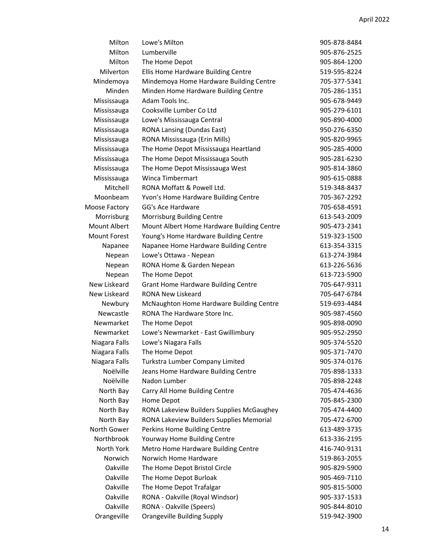| Milton              | Lowe's Milton                              | 905-878-8484 |
|---------------------|--------------------------------------------|--------------|
| Milton              | Lumberville                                | 905-876-2525 |
| Milton              | The Home Depot                             | 905-864-1200 |
| Milverton           | Ellis Home Hardware Building Centre        | 519-595-8224 |
| Mindemoya           | Mindemoya Home Hardware Building Centre    | 705-377-5341 |
| Minden              | Minden Home Hardware Building Centre       | 705-286-1351 |
| Mississauga         | Adam Tools Inc.                            | 905-678-9449 |
| Mississauga         | Cooksville Lumber Co Ltd                   | 905-279-6101 |
| Mississauga         | Lowe's Mississauga Central                 | 905-890-4000 |
| Mississauga         | RONA Lansing (Dundas East)                 | 950-276-6350 |
| Mississauga         | RONA Mississauga (Erin Mills)              | 905-820-9965 |
| Mississauga         | The Home Depot Mississauga Heartland       | 905-285-4000 |
| Mississauga         | The Home Depot Mississauga South           | 905-281-6230 |
| Mississauga         | The Home Depot Mississauga West            | 905-814-3860 |
| Mississauga         | <b>Winca Timbermart</b>                    | 905-615-0888 |
| Mitchell            | RONA Moffatt & Powell Ltd.                 | 519-348-8437 |
| Moonbeam            | Yvon's Home Hardware Building Centre       | 705-367-2292 |
| Moose Factory       | GG's Ace Hardware                          | 705-658-4591 |
| Morrisburg          | Morrisburg Building Centre                 | 613-543-2009 |
| <b>Mount Albert</b> | Mount Albert Home Hardware Building Centre | 905-473-2341 |
| <b>Mount Forest</b> | Young's Home Hardware Building Centre      | 519-323-1500 |
| Napanee             | Napanee Home Hardware Building Centre      | 613-354-3315 |
| Nepean              | Lowe's Ottawa - Nepean                     | 613-274-3984 |
| Nepean              | RONA Home & Garden Nepean                  | 613-226-5636 |
| Nepean              | The Home Depot                             | 613-723-5900 |
| New Liskeard        | <b>Grant Home Hardware Building Centre</b> | 705-647-9311 |
| New Liskeard        | RONA New Liskeard                          | 705-647-6784 |
| Newbury             | McNaughton Home Hardware Building Centre   | 519-693-4484 |
| Newcastle           | RONA The Hardware Store Inc.               | 905-987-4560 |
| Newmarket           | The Home Depot                             | 905-898-0090 |
| Newmarket           | Lowe's Newmarket - East Gwillimbury        | 905-952-2950 |
| Niagara Falls       | Lowe's Niagara Falls                       | 905-374-5520 |
| Niagara Falls       | The Home Depot                             | 905-371-7470 |
| Niagara Falls       | Turkstra Lumber Company Limited            | 905-374-0176 |
| Noëlville           | Jeans Home Hardware Building Centre        | 705-898-1333 |
| Noëlville           | Nadon Lumber                               | 705-898-2248 |
| North Bay           | Carry All Home Building Centre             | 705-474-4636 |
| North Bay           | Home Depot                                 | 705-845-2300 |
| North Bay           | RONA Lakeview Builders Supplies McGaughey  | 705-474-4400 |
| North Bay           | RONA Lakeview Builders Supplies Memorial   | 705-472-6700 |
| North Gower         | Perkins Home Building Centre               | 613-489-3735 |
| Northbrook          | Yourway Home Building Centre               | 613-336-2195 |
| North York          | Metro Home Hardware Building Centre        | 416-740-9131 |
| Norwich             | Norwich Home Hardware                      | 519-863-2055 |
| Oakville            | The Home Depot Bristol Circle              | 905-829-5900 |
| Oakville            | The Home Depot Burloak                     | 905-469-7110 |
| Oakville            | The Home Depot Trafalgar                   | 905-815-5000 |
| Oakville            | RONA - Oakville (Royal Windsor)            | 905-337-1533 |
| Oakville            | RONA - Oakville (Speers)                   | 905-844-8010 |
| Orangeville         | <b>Orangeville Building Supply</b>         | 519-942-3900 |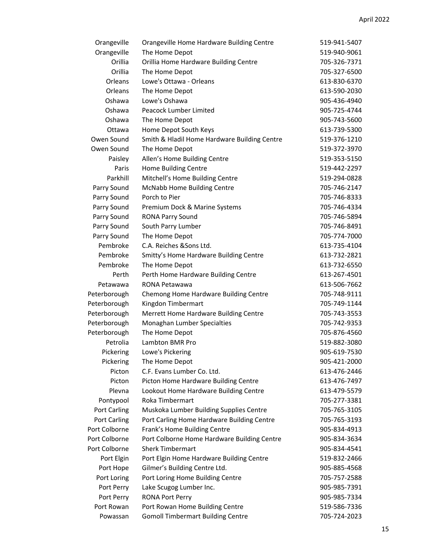| Orangeville   | Orangeville Home Hardware Building Centre    | 519-941-5407 |
|---------------|----------------------------------------------|--------------|
| Orangeville   | The Home Depot                               | 519-940-9061 |
| Orillia       | Orillia Home Hardware Building Centre        | 705-326-7371 |
| Orillia       | The Home Depot                               | 705-327-6500 |
| Orleans       | Lowe's Ottawa - Orleans                      | 613-830-6370 |
| Orleans       | The Home Depot                               | 613-590-2030 |
| Oshawa        | Lowe's Oshawa                                | 905-436-4940 |
| Oshawa        | Peacock Lumber Limited                       | 905-725-4744 |
| Oshawa        | The Home Depot                               | 905-743-5600 |
| Ottawa        | Home Depot South Keys                        | 613-739-5300 |
| Owen Sound    | Smith & Hladil Home Hardware Building Centre | 519-376-1210 |
| Owen Sound    | The Home Depot                               | 519-372-3970 |
| Paisley       | Allen's Home Building Centre                 | 519-353-5150 |
| Paris         | Home Building Centre                         | 519-442-2297 |
| Parkhill      | Mitchell's Home Building Centre              | 519-294-0828 |
| Parry Sound   | <b>McNabb Home Building Centre</b>           | 705-746-2147 |
| Parry Sound   | Porch to Pier                                | 705-746-8333 |
| Parry Sound   | Premium Dock & Marine Systems                | 705-746-4334 |
| Parry Sound   | <b>RONA Parry Sound</b>                      | 705-746-5894 |
| Parry Sound   | South Parry Lumber                           | 705-746-8491 |
| Parry Sound   | The Home Depot                               | 705-774-7000 |
| Pembroke      | C.A. Reiches & Sons Ltd.                     | 613-735-4104 |
| Pembroke      | Smitty's Home Hardware Building Centre       | 613-732-2821 |
| Pembroke      | The Home Depot                               | 613-732-6550 |
| Perth         | Perth Home Hardware Building Centre          | 613-267-4501 |
| Petawawa      | RONA Petawawa                                | 613-506-7662 |
| Peterborough  | Chemong Home Hardware Building Centre        | 705-748-9111 |
| Peterborough  | Kingdon Timbermart                           | 705-749-1144 |
| Peterborough  | Merrett Home Hardware Building Centre        | 705-743-3553 |
| Peterborough  | Monaghan Lumber Specialties                  | 705-742-9353 |
| Peterborough  | The Home Depot                               | 705-876-4560 |
| Petrolia      | Lambton BMR Pro                              | 519-882-3080 |
| Pickering     | Lowe's Pickering                             | 905-619-7530 |
| Pickering     | The Home Depot                               | 905-421-2000 |
| Picton        | C.F. Evans Lumber Co. Ltd.                   | 613-476-2446 |
| Picton        | Picton Home Hardware Building Centre         | 613-476-7497 |
| Plevna        | Lookout Home Hardware Building Centre        | 613-479-5579 |
| Pontypool     | Roka Timbermart                              | 705-277-3381 |
| Port Carling  | Muskoka Lumber Building Supplies Centre      | 705-765-3105 |
| Port Carling  | Port Carling Home Hardware Building Centre   | 705-765-3193 |
| Port Colborne | Frank's Home Building Centre                 | 905-834-4913 |
| Port Colborne | Port Colborne Home Hardware Building Centre  | 905-834-3634 |
| Port Colborne | <b>Sherk Timbermart</b>                      | 905-834-4541 |
| Port Elgin    | Port Elgin Home Hardware Building Centre     | 519-832-2466 |
| Port Hope     | Gilmer's Building Centre Ltd.                | 905-885-4568 |
| Port Loring   | Port Loring Home Building Centre             | 705-757-2588 |
| Port Perry    | Lake Scugog Lumber Inc.                      | 905-985-7391 |
| Port Perry    | <b>RONA Port Perry</b>                       | 905-985-7334 |
| Port Rowan    | Port Rowan Home Building Centre              | 519-586-7336 |
| Powassan      | <b>Gomoll Timbermart Building Centre</b>     | 705-724-2023 |
|               |                                              |              |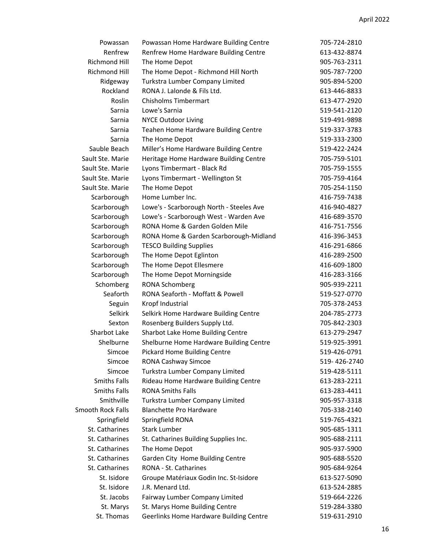| Powassan             | Powassan Home Hardware Building Centre   | 705-724-2810 |
|----------------------|------------------------------------------|--------------|
| Renfrew              | Renfrew Home Hardware Building Centre    | 613-432-8874 |
| <b>Richmond Hill</b> | The Home Depot                           | 905-763-2311 |
| <b>Richmond Hill</b> | The Home Depot - Richmond Hill North     | 905-787-7200 |
| Ridgeway             | Turkstra Lumber Company Limited          | 905-894-5200 |
| Rockland             | RONA J. Lalonde & Fils Ltd.              | 613-446-8833 |
| Roslin               | <b>Chisholms Timbermart</b>              | 613-477-2920 |
| Sarnia               | Lowe's Sarnia                            | 519-541-2120 |
| Sarnia               | <b>NYCE Outdoor Living</b>               | 519-491-9898 |
| Sarnia               | Teahen Home Hardware Building Centre     | 519-337-3783 |
| Sarnia               | The Home Depot                           | 519-333-2300 |
| Sauble Beach         | Miller's Home Hardware Building Centre   | 519-422-2424 |
| Sault Ste. Marie     | Heritage Home Hardware Building Centre   | 705-759-5101 |
| Sault Ste. Marie     | Lyons Timbermart - Black Rd              | 705-759-1555 |
| Sault Ste. Marie     | Lyons Timbermart - Wellington St         | 705-759-4164 |
| Sault Ste. Marie     | The Home Depot                           | 705-254-1150 |
| Scarborough          | Home Lumber Inc.                         | 416-759-7438 |
| Scarborough          | Lowe's - Scarborough North - Steeles Ave | 416-940-4827 |
| Scarborough          | Lowe's - Scarborough West - Warden Ave   | 416-689-3570 |
| Scarborough          | RONA Home & Garden Golden Mile           | 416-751-7556 |
| Scarborough          | RONA Home & Garden Scarborough-Midland   | 416-396-3453 |
| Scarborough          | <b>TESCO Building Supplies</b>           | 416-291-6866 |
| Scarborough          | The Home Depot Eglinton                  | 416-289-2500 |
| Scarborough          | The Home Depot Ellesmere                 | 416-609-1800 |
| Scarborough          | The Home Depot Morningside               | 416-283-3166 |
| Schomberg            | <b>RONA Schomberg</b>                    | 905-939-2211 |
| Seaforth             | RONA Seaforth - Moffatt & Powell         | 519-527-0770 |
| Seguin               | Kropf Industrial                         | 705-378-2453 |
| Selkirk              | Selkirk Home Hardware Building Centre    | 204-785-2773 |
| Sexton               | Rosenberg Builders Supply Ltd.           | 705-842-2303 |
| Sharbot Lake         | Sharbot Lake Home Building Centre        | 613-279-2947 |
| Shelburne            | Shelburne Home Hardware Building Centre  | 519-925-3991 |
| Simcoe               | <b>Pickard Home Building Centre</b>      | 519-426-0791 |
| Simcoe               | RONA Cashway Simcoe                      | 519-426-2740 |
| Simcoe               | Turkstra Lumber Company Limited          | 519-428-5111 |
| <b>Smiths Falls</b>  | Rideau Home Hardware Building Centre     | 613-283-2211 |
| <b>Smiths Falls</b>  | <b>RONA Smiths Falls</b>                 | 613-283-4411 |
| Smithville           | Turkstra Lumber Company Limited          | 905-957-3318 |
| Smooth Rock Falls    | <b>Blanchette Pro Hardware</b>           | 705-338-2140 |
| Springfield          | Springfield RONA                         | 519-765-4321 |
| St. Catharines       | <b>Stark Lumber</b>                      | 905-685-1311 |
| St. Catharines       | St. Catharines Building Supplies Inc.    | 905-688-2111 |
| St. Catharines       | The Home Depot                           | 905-937-5900 |
| St. Catharines       | Garden City Home Building Centre         | 905-688-5520 |
| St. Catharines       | RONA - St. Catharines                    | 905-684-9264 |
| St. Isidore          | Groupe Matériaux Godin Inc. St-Isidore   | 613-527-5090 |
| St. Isidore          | J.R. Menard Ltd.                         | 613-524-2885 |
| St. Jacobs           | Fairway Lumber Company Limited           | 519-664-2226 |
| St. Marys            | St. Marys Home Building Centre           | 519-284-3380 |
| St. Thomas           | Geerlinks Home Hardware Building Centre  | 519-631-2910 |
|                      |                                          |              |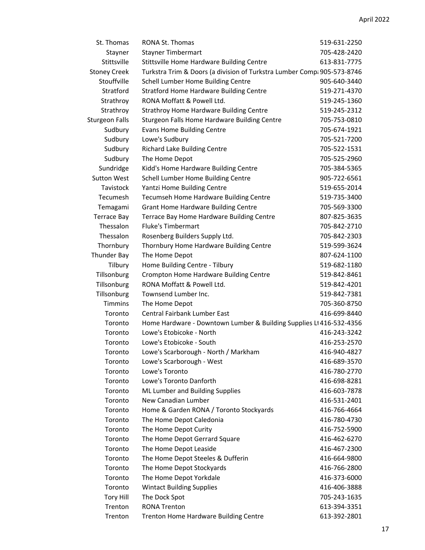| St. Thomas            | <b>RONA St. Thomas</b>                                                  | 519-631-2250 |
|-----------------------|-------------------------------------------------------------------------|--------------|
| Stayner               | <b>Stayner Timbermart</b>                                               | 705-428-2420 |
| Stittsville           | Stittsville Home Hardware Building Centre                               | 613-831-7775 |
| <b>Stoney Creek</b>   | Turkstra Trim & Doors (a division of Turkstra Lumber Comp: 905-573-8746 |              |
| Stouffville           | Schell Lumber Home Building Centre                                      | 905-640-3440 |
| Stratford             | <b>Stratford Home Hardware Building Centre</b>                          | 519-271-4370 |
| Strathroy             | RONA Moffatt & Powell Ltd.                                              | 519-245-1360 |
| Strathroy             | Strathroy Home Hardware Building Centre                                 | 519-245-2312 |
| <b>Sturgeon Falls</b> | Sturgeon Falls Home Hardware Building Centre                            | 705-753-0810 |
| Sudbury               | <b>Evans Home Building Centre</b>                                       | 705-674-1921 |
| Sudbury               | Lowe's Sudbury                                                          | 705-521-7200 |
| Sudbury               | Richard Lake Building Centre                                            | 705-522-1531 |
| Sudbury               | The Home Depot                                                          | 705-525-2960 |
| Sundridge             | Kidd's Home Hardware Building Centre                                    | 705-384-5365 |
| <b>Sutton West</b>    | Schell Lumber Home Building Centre                                      | 905-722-6561 |
| Tavistock             | Yantzi Home Building Centre                                             | 519-655-2014 |
| Tecumesh              | Tecumseh Home Hardware Building Centre                                  | 519-735-3400 |
| Temagami              | <b>Grant Home Hardware Building Centre</b>                              | 705-569-3300 |
| <b>Terrace Bay</b>    | Terrace Bay Home Hardware Building Centre                               | 807-825-3635 |
| Thessalon             | <b>Fluke's Timbermart</b>                                               | 705-842-2710 |
| Thessalon             | Rosenberg Builders Supply Ltd.                                          | 705-842-2303 |
| Thornbury             | Thornbury Home Hardware Building Centre                                 | 519-599-3624 |
| Thunder Bay           | The Home Depot                                                          | 807-624-1100 |
| Tilbury               | Home Building Centre - Tilbury                                          | 519-682-1180 |
| Tillsonburg           | Crompton Home Hardware Building Centre                                  | 519-842-8461 |
| Tillsonburg           | RONA Moffatt & Powell Ltd.                                              | 519-842-4201 |
| Tillsonburg           | Townsend Lumber Inc.                                                    | 519-842-7381 |
| <b>Timmins</b>        | The Home Depot                                                          | 705-360-8750 |
| Toronto               | <b>Central Fairbank Lumber East</b>                                     | 416-699-8440 |
| Toronto               | Home Hardware - Downtown Lumber & Building Supplies Lt 416-532-4356     |              |
| Toronto               | Lowe's Etobicoke - North                                                | 416-243-3242 |
| Toronto               | Lowe's Etobicoke - South                                                | 416-253-2570 |
| Toronto               | Lowe's Scarborough - North / Markham                                    | 416-940-4827 |
| Toronto               | Lowe's Scarborough - West                                               | 416-689-3570 |
| Toronto               | Lowe's Toronto                                                          | 416-780-2770 |
| Toronto               | Lowe's Toronto Danforth                                                 | 416-698-8281 |
| Toronto               | ML Lumber and Building Supplies                                         | 416-603-7878 |
| Toronto               | New Canadian Lumber                                                     | 416-531-2401 |
| Toronto               | Home & Garden RONA / Toronto Stockyards                                 | 416-766-4664 |
| Toronto               | The Home Depot Caledonia                                                | 416-780-4730 |
| Toronto               | The Home Depot Curity                                                   | 416-752-5900 |
| Toronto               | The Home Depot Gerrard Square                                           | 416-462-6270 |
| Toronto               | The Home Depot Leaside                                                  | 416-467-2300 |
| Toronto               | The Home Depot Steeles & Dufferin                                       | 416-664-9800 |
| Toronto               | The Home Depot Stockyards                                               | 416-766-2800 |
| Toronto               | The Home Depot Yorkdale                                                 | 416-373-6000 |
| Toronto               | <b>Wintact Building Supplies</b>                                        | 416-406-3888 |
| <b>Tory Hill</b>      | The Dock Spot                                                           | 705-243-1635 |
| Trenton               | <b>RONA Trenton</b>                                                     | 613-394-3351 |
| Trenton               | Trenton Home Hardware Building Centre                                   | 613-392-2801 |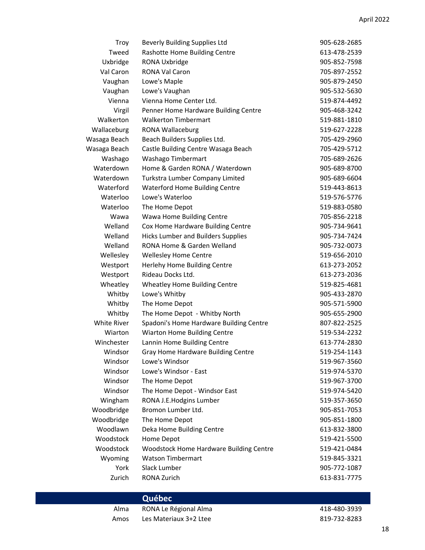| Troy         | <b>Beverly Building Supplies Ltd</b>      | 905-628-2685 |
|--------------|-------------------------------------------|--------------|
| Tweed        | Rashotte Home Building Centre             | 613-478-2539 |
| Uxbridge     | RONA Uxbridge                             | 905-852-7598 |
| Val Caron    | <b>RONA Val Caron</b>                     | 705-897-2552 |
| Vaughan      | Lowe's Maple                              | 905-879-2450 |
| Vaughan      | Lowe's Vaughan                            | 905-532-5630 |
| Vienna       | Vienna Home Center Ltd.                   | 519-874-4492 |
| Virgil       | Penner Home Hardware Building Centre      | 905-468-3242 |
| Walkerton    | <b>Walkerton Timbermart</b>               | 519-881-1810 |
| Wallaceburg  | <b>RONA Wallaceburg</b>                   | 519-627-2228 |
| Wasaga Beach | Beach Builders Supplies Ltd.              | 705-429-2960 |
| Wasaga Beach | Castle Building Centre Wasaga Beach       | 705-429-5712 |
| Washago      | Washago Timbermart                        | 705-689-2626 |
| Waterdown    | Home & Garden RONA / Waterdown            | 905-689-8700 |
| Waterdown    | Turkstra Lumber Company Limited           | 905-689-6604 |
| Waterford    | <b>Waterford Home Building Centre</b>     | 519-443-8613 |
| Waterloo     | Lowe's Waterloo                           | 519-576-5776 |
| Waterloo     | The Home Depot                            | 519-883-0580 |
| Wawa         | Wawa Home Building Centre                 | 705-856-2218 |
| Welland      | Cox Home Hardware Building Centre         | 905-734-9641 |
| Welland      | <b>Hicks Lumber and Builders Supplies</b> | 905-734-7424 |
| Welland      | RONA Home & Garden Welland                | 905-732-0073 |
| Wellesley    | <b>Wellesley Home Centre</b>              | 519-656-2010 |
| Westport     | Herlehy Home Building Centre              | 613-273-2052 |
| Westport     | Rideau Docks Ltd.                         | 613-273-2036 |
| Wheatley     | Wheatley Home Building Centre             | 519-825-4681 |
| Whitby       | Lowe's Whitby                             | 905-433-2870 |
| Whitby       | The Home Depot                            | 905-571-5900 |
| Whitby       | The Home Depot - Whitby North             | 905-655-2900 |
| White River  | Spadoni's Home Hardware Building Centre   | 807-822-2525 |
| Wiarton      | Wiarton Home Building Centre              | 519-534-2232 |
| Winchester   | Lannin Home Building Centre               | 613-774-2830 |
| Windsor      | Gray Home Hardware Building Centre        | 519-254-1143 |
| Windsor      | Lowe's Windsor                            | 519-967-3560 |
| Windsor      | Lowe's Windsor - East                     | 519-974-5370 |
| Windsor      | The Home Depot                            | 519-967-3700 |
| Windsor      | The Home Depot - Windsor East             | 519-974-5420 |
| Wingham      | RONA J.E.Hodgins Lumber                   | 519-357-3650 |
| Woodbridge   | Bromon Lumber Ltd.                        | 905-851-7053 |
| Woodbridge   | The Home Depot                            | 905-851-1800 |
| Woodlawn     | Deka Home Building Centre                 | 613-832-3800 |
| Woodstock    | Home Depot                                | 519-421-5500 |
| Woodstock    | Woodstock Home Hardware Building Centre   | 519-421-0484 |
| Wyoming      | <b>Watson Timbermart</b>                  | 519-845-3321 |
| York         | Slack Lumber                              | 905-772-1087 |
| Zurich       | RONA Zurich                               | 613-831-7775 |
|              |                                           |              |

|      | Québec                 |              |
|------|------------------------|--------------|
| Alma | RONA Le Régional Alma  | 418-480-3939 |
| Amos | Les Materiaux 3+2 Ltee | 819-732-8283 |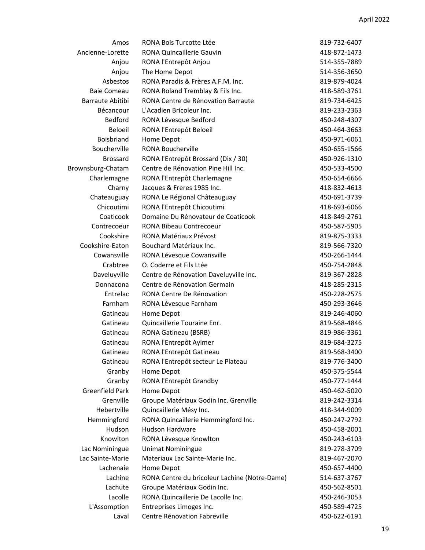| Amos                   | RONA Bois Turcotte Ltée                       | 819-732-6407 |
|------------------------|-----------------------------------------------|--------------|
| Ancienne-Lorette       | <b>RONA Quincaillerie Gauvin</b>              | 418-872-1473 |
| Anjou                  | RONA l'Entrepôt Anjou                         | 514-355-7889 |
| Anjou                  | The Home Depot                                | 514-356-3650 |
| Asbestos               | RONA Paradis & Frères A.F.M. Inc.             | 819-879-4024 |
| <b>Baie Comeau</b>     | RONA Roland Tremblay & Fils Inc.              | 418-589-3761 |
| Barraute Abitibi       | RONA Centre de Rénovation Barraute            | 819-734-6425 |
| Bécancour              | L'Acadien Bricoleur Inc.                      | 819-233-2363 |
| <b>Bedford</b>         | RONA Lévesque Bedford                         | 450-248-4307 |
| Beloeil                | RONA l'Entrepôt Beloeil                       | 450-464-3663 |
| <b>Boisbriand</b>      | Home Depot                                    | 450-971-6061 |
| Boucherville           | <b>RONA Boucherville</b>                      | 450-655-1566 |
| <b>Brossard</b>        | RONA l'Entrepôt Brossard (Dix / 30)           | 450-926-1310 |
| Brownsburg-Chatam      | Centre de Rénovation Pine Hill Inc.           | 450-533-4500 |
| Charlemagne            | RONA l'Entrepôt Charlemagne                   | 450-654-6666 |
| Charny                 | Jacques & Freres 1985 Inc.                    | 418-832-4613 |
| Chateauguay            | RONA Le Régional Châteauguay                  | 450-691-3739 |
| Chicoutimi             | RONA l'Entrepôt Chicoutimi                    | 418-693-6066 |
| Coaticook              | Domaine Du Rénovateur de Coaticook            | 418-849-2761 |
| Contrecoeur            | <b>RONA Bibeau Contrecoeur</b>                | 450-587-5905 |
| Cookshire              | <b>RONA Matériaux Prévost</b>                 | 819-875-3333 |
| Cookshire-Eaton        | Bouchard Matériaux Inc.                       | 819-566-7320 |
| Cowansville            | RONA Lévesque Cowansville                     | 450-266-1444 |
| Crabtree               | O. Coderre et Fils Ltée                       | 450-754-2848 |
| Daveluyville           | Centre de Rénovation Daveluyville Inc.        | 819-367-2828 |
| Donnacona              | Centre de Rénovation Germain                  | 418-285-2315 |
| Entrelac               | RONA Centre De Rénovation                     | 450-228-2575 |
| Farnham                | RONA Lévesque Farnham                         | 450-293-3646 |
| Gatineau               | Home Depot                                    | 819-246-4060 |
| Gatineau               | Quincaillerie Touraine Enr.                   | 819-568-4846 |
| Gatineau               | <b>RONA Gatineau (BSRB)</b>                   | 819-986-3361 |
| Gatineau               | RONA l'Entrepôt Aylmer                        | 819-684-3275 |
| Gatineau               | RONA l'Entrepôt Gatineau                      | 819-568-3400 |
| Gatineau               | RONA l'Entrepôt secteur Le Plateau            | 819-776-3400 |
| Granby                 | Home Depot                                    | 450-375-5544 |
| Granby                 | RONA l'Entrepôt Grandby                       | 450-777-1444 |
| <b>Greenfield Park</b> | Home Depot                                    | 450-462-5020 |
| Grenville              | Groupe Matériaux Godin Inc. Grenville         | 819-242-3314 |
| Hebertville            | Quincaillerie Mésy Inc.                       | 418-344-9009 |
| Hemmingford            | RONA Quincaillerie Hemmingford Inc.           | 450-247-2792 |
| Hudson                 | <b>Hudson Hardware</b>                        | 450-458-2001 |
| Knowlton               | RONA Lévesque Knowlton                        | 450-243-6103 |
| Lac Nominingue         | <b>Unimat Nominingue</b>                      | 819-278-3709 |
| Lac Sainte-Marie       | Materiaux Lac Sainte-Marie Inc.               | 819-467-2070 |
| Lachenaie              | Home Depot                                    | 450-657-4400 |
| Lachine                | RONA Centre du bricoleur Lachine (Notre-Dame) | 514-637-3767 |
| Lachute                | Groupe Matériaux Godin Inc.                   | 450-562-8501 |
| Lacolle                | RONA Quincaillerie De Lacolle Inc.            | 450-246-3053 |
| L'Assomption           | Entreprises Limoges Inc.                      | 450-589-4725 |
| Laval                  | Centre Rénovation Fabreville                  | 450-622-6191 |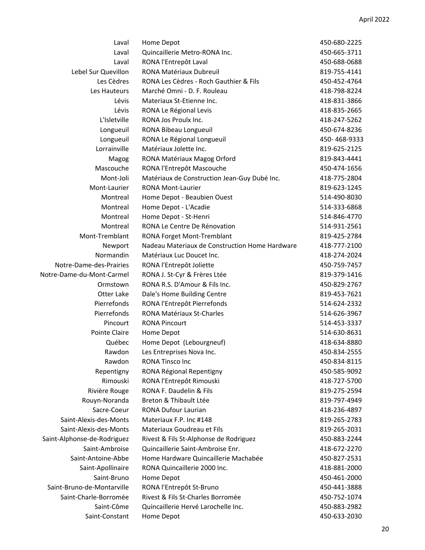| Laval                       | Home Depot                                     | 450-680-2225 |
|-----------------------------|------------------------------------------------|--------------|
| Laval                       | Quincaillerie Metro-RONA Inc.                  | 450-665-3711 |
| Laval                       | RONA l'Entrepôt Laval                          | 450-688-0688 |
| Lebel Sur Quevillon         | RONA Matériaux Dubreuil                        | 819-755-4141 |
| Les Cèdres                  | RONA Les Cèdres - Roch Gauthier & Fils         | 450-452-4764 |
| Les Hauteurs                | Marché Omni - D. F. Rouleau                    | 418-798-8224 |
| Lévis                       | Materiaux St-Etienne Inc.                      | 418-831-3866 |
| Lévis                       | RONA Le Régional Levis                         | 418-835-2665 |
| L'Isletville                | RONA Jos Proulx Inc.                           | 418-247-5262 |
| Longueuil                   | RONA Bibeau Longueuil                          | 450-674-8236 |
| Longueuil                   | RONA Le Régional Longueuil                     | 450-468-9333 |
| Lorrainville                | Matériaux Jolette Inc.                         | 819-625-2125 |
| Magog                       | RONA Matériaux Magog Orford                    | 819-843-4441 |
| Mascouche                   | RONA l'Entrepôt Mascouche                      | 450-474-1656 |
| Mont-Joli                   | Matériaux de Construction Jean-Guy Dubé Inc.   | 418-775-2804 |
| Mont-Laurier                | <b>RONA Mont-Laurier</b>                       | 819-623-1245 |
| Montreal                    | Home Depot - Beaubien Ouest                    | 514-490-8030 |
| Montreal                    | Home Depot - L'Acadie                          | 514-333-6868 |
| Montreal                    | Home Depot - St-Henri                          | 514-846-4770 |
| Montreal                    | RONA Le Centre De Rénovation                   | 514-931-2561 |
| Mont-Tremblant              | <b>RONA Forget Mont-Tremblant</b>              | 819-425-2784 |
| Newport                     | Nadeau Materiaux de Construction Home Hardware | 418-777-2100 |
| Normandin                   | Matériaux Luc Doucet Inc.                      | 418-274-2024 |
| Notre-Dame-des-Prairies     | RONA l'Entrepôt Joliette                       | 450-759-7457 |
| Notre-Dame-du-Mont-Carmel   | RONA J. St-Cyr & Frères Ltée                   | 819-379-1416 |
| Ormstown                    | RONA R.S. D'Amour & Fils Inc.                  | 450-829-2767 |
| Otter Lake                  | Dale's Home Building Centre                    | 819-453-7621 |
| Pierrefonds                 | RONA l'Entrepôt Pierrefonds                    | 514-624-2332 |
| Pierrefonds                 | RONA Matériaux St-Charles                      | 514-626-3967 |
| Pincourt                    | <b>RONA Pincourt</b>                           | 514-453-3337 |
| Pointe Claire               | Home Depot                                     | 514-630-8631 |
| Québec                      | Home Depot (Lebourgneuf)                       | 418-634-8880 |
| Rawdon                      | Les Entreprises Nova Inc.                      | 450-834-2555 |
| Rawdon                      | <b>RONA Tinsco Inc</b>                         | 450-834-8115 |
| Repentigny                  | RONA Régional Repentigny                       | 450-585-9092 |
| Rimouski                    | RONA l'Entrepôt Rimouski                       | 418-727-5700 |
| Rivière Rouge               | RONA F. Daudelin & Fils                        | 819-275-2594 |
| Rouyn-Noranda               | Breton & Thibault Ltée                         | 819-797-4949 |
| Sacre-Coeur                 | RONA Dufour Laurian                            | 418-236-4897 |
| Saint-Alexis-des-Monts      | Materiaux F.P. Inc #148                        | 819-265-2783 |
| Saint-Alexis-des-Monts      | Materiaux Goudreau et Fils                     | 819-265-2031 |
| Saint-Alphonse-de-Rodriguez | Rivest & Fils St-Alphonse de Rodriguez         | 450-883-2244 |
| Saint-Ambroise              | Quincaillerie Saint-Ambroise Enr.              | 418-672-2270 |
| Saint-Antoine-Abbe          | Home Hardware Quincaillerie Machabée           | 450-827-2531 |
| Saint-Apollinaire           | RONA Quincaillerie 2000 Inc.                   | 418-881-2000 |
| Saint-Bruno                 | Home Depot                                     | 450-461-2000 |
| Saint-Bruno-de-Montarville  | RONA l'Entrepôt St-Bruno                       | 450-441-3888 |
| Saint-Charle-Borromée       | Rivest & Fils St-Charles Borromée              | 450-752-1074 |
| Saint-Côme                  | Quincaillerie Hervé Larochelle Inc.            | 450-883-2982 |
| Saint-Constant              | Home Depot                                     | 450-633-2030 |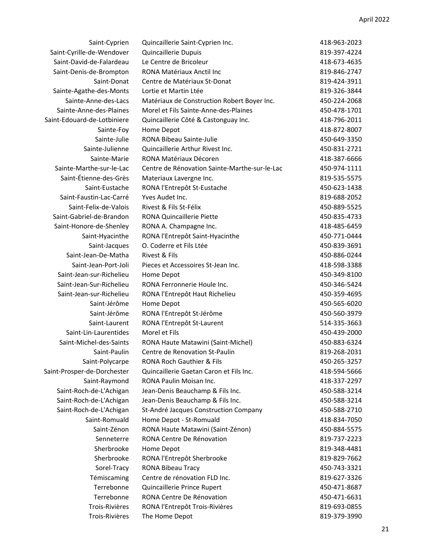| Saint-Cyrille-de-Wendover<br>Quincaillerie Dupuis<br>819-397-4224<br>Le Centre de Bricoleur<br>Saint-David-de-Falardeau<br>418-673-4635<br>RONA Matériaux Anctil Inc<br>Saint-Denis-de-Brompton<br>819-846-2747<br>Centre de Matériaux St-Donat<br>819-424-3911<br>Saint-Donat<br>Sainte-Agathe-des-Monts<br>Lortie et Martin Ltée<br>819-326-3844<br>Sainte-Anne-des-Lacs<br>Matériaux de Construction Robert Boyer Inc.<br>450-224-2068<br>Sainte-Anne-des-Plaines<br>Morel et Fils Sainte-Anne-des-Plaines<br>450-478-1701<br>418-796-2011<br>Quincaillerie Côté & Castonguay Inc.<br>Sainte-Foy<br>Home Depot<br>418-872-8007<br>Sainte-Julie<br><b>RONA Bibeau Sainte-Julie</b><br>450-649-3350<br>Sainte-Julienne<br>Quincaillerie Arthur Rivest Inc.<br>450-831-2721<br>RONA Matériaux Décoren<br>Sainte-Marie<br>418-387-6666<br>Sainte-Marthe-sur-le-Lac<br>Centre de Rénovation Sainte-Marthe-sur-le-Lac<br>450-974-1111<br>Saint-Étienne-des-Grès<br>Materiaux Lavergne Inc.<br>819-535-5575<br>Saint-Eustache<br>RONA l'Entrepôt St-Eustache<br>450-623-1438<br>Saint-Faustin-Lac-Carré<br>Yves Audet Inc.<br>819-688-2052<br>Saint-Felix-de-Valois<br>Rivest & Fils St-Félix<br>450-889-5525<br>Saint-Gabriel-de-Brandon<br><b>RONA Quincaillerie Piette</b><br>450-835-4733<br>Saint-Honore-de-Shenley<br>RONA A. Champagne Inc.<br>418-485-6459<br>Saint-Hyacinthe<br>RONA l'Entrepôt Saint-Hyacinthe<br>450-771-0444<br>Saint-Jacques<br>O. Coderre et Fils Ltée<br>450-839-3691<br>Rivest & Fils<br>Saint-Jean-De-Matha<br>450-886-0244<br>Saint-Jean-Port-Joli<br>Pieces et Accessoires St-Jean Inc.<br>418-598-3388<br>Saint-Jean-sur-Richelieu<br>Home Depot<br>450-349-8100<br>Saint-Jean-Sur-Richelieu<br>RONA Ferronnerie Houle Inc.<br>450-346-5424<br>Saint-Jean-sur-Richelieu<br>RONA l'Entrepôt Haut Richelieu<br>450-359-4695<br>Saint-Jérôme<br>450-565-6020<br>Home Depot<br>Saint-Jérôme<br>RONA l'Entrepôt St-Jérôme<br>450-560-3979<br>Saint-Laurent<br>RONA l'Entrepôt St-Laurent<br>514-335-3663<br>Morel et Fils<br>Saint-Lin-Laurentides<br>450-439-2000<br>Saint-Michel-des-Saints<br>RONA Haute Matawini (Saint-Michel)<br>450-883-6324<br>Saint-Paulin<br>Centre de Renovation St-Paulin<br>819-268-2031<br><b>RONA Roch Gauthier &amp; Fils</b><br>450-265-3257<br>Saint-Polycarpe<br>Quincaillerie Gaetan Caron et Fils Inc.<br>418-594-5666<br>Saint-Raymond<br><b>RONA Paulin Moisan Inc.</b><br>418-337-2297<br>Saint-Roch-de-L'Achigan<br>Jean-Denis Beauchamp & Fils Inc.<br>450-588-3214<br>Saint-Roch-de-L'Achigan<br>Jean-Denis Beauchamp & Fils Inc.<br>450-588-3214<br>Saint-Roch-de-L'Achigan<br>St-André Jacques Construction Company<br>450-588-2710<br>Saint-Romuald<br>Home Depot - St-Romuald<br>418-834-7050<br>Saint-Zénon<br>RONA Haute Matawini (Saint-Zénon)<br>450-884-5575<br>RONA Centre De Rénovation<br>Senneterre<br>819-737-2223<br>Sherbrooke<br>Home Depot<br>819-348-4481<br>Sherbrooke<br>RONA l'Entrepôt Sherbrooke<br>819-829-7662<br>Sorel-Tracy<br>RONA Bibeau Tracy<br>450-743-3321<br>Témiscaming<br>Centre de rénovation FLD Inc.<br>819-627-3326<br>Terrebonne<br>Quincaillerie Prince Rupert<br>450-471-8687<br>Terrebonne<br>RONA Centre De Rénovation<br>450-471-6631<br>Trois-Rivières<br>RONA l'Entrepôt Trois-Rivières<br>819-693-0855<br>Trois-Rivières<br>The Home Depot<br>819-379-3990 | Saint-Cyprien               | Quincaillerie Saint-Cyprien Inc. | 418-963-2023 |
|------------------------------------------------------------------------------------------------------------------------------------------------------------------------------------------------------------------------------------------------------------------------------------------------------------------------------------------------------------------------------------------------------------------------------------------------------------------------------------------------------------------------------------------------------------------------------------------------------------------------------------------------------------------------------------------------------------------------------------------------------------------------------------------------------------------------------------------------------------------------------------------------------------------------------------------------------------------------------------------------------------------------------------------------------------------------------------------------------------------------------------------------------------------------------------------------------------------------------------------------------------------------------------------------------------------------------------------------------------------------------------------------------------------------------------------------------------------------------------------------------------------------------------------------------------------------------------------------------------------------------------------------------------------------------------------------------------------------------------------------------------------------------------------------------------------------------------------------------------------------------------------------------------------------------------------------------------------------------------------------------------------------------------------------------------------------------------------------------------------------------------------------------------------------------------------------------------------------------------------------------------------------------------------------------------------------------------------------------------------------------------------------------------------------------------------------------------------------------------------------------------------------------------------------------------------------------------------------------------------------------------------------------------------------------------------------------------------------------------------------------------------------------------------------------------------------------------------------------------------------------------------------------------------------------------------------------------------------------------------------------------------------------------------------------------------------------------------------------------------------------------------------------------------------------------------------------------------------------------------------------------------------------------------------------------------------------------------------------------------------------------|-----------------------------|----------------------------------|--------------|
|                                                                                                                                                                                                                                                                                                                                                                                                                                                                                                                                                                                                                                                                                                                                                                                                                                                                                                                                                                                                                                                                                                                                                                                                                                                                                                                                                                                                                                                                                                                                                                                                                                                                                                                                                                                                                                                                                                                                                                                                                                                                                                                                                                                                                                                                                                                                                                                                                                                                                                                                                                                                                                                                                                                                                                                                                                                                                                                                                                                                                                                                                                                                                                                                                                                                                                                                                                                    |                             |                                  |              |
|                                                                                                                                                                                                                                                                                                                                                                                                                                                                                                                                                                                                                                                                                                                                                                                                                                                                                                                                                                                                                                                                                                                                                                                                                                                                                                                                                                                                                                                                                                                                                                                                                                                                                                                                                                                                                                                                                                                                                                                                                                                                                                                                                                                                                                                                                                                                                                                                                                                                                                                                                                                                                                                                                                                                                                                                                                                                                                                                                                                                                                                                                                                                                                                                                                                                                                                                                                                    |                             |                                  |              |
|                                                                                                                                                                                                                                                                                                                                                                                                                                                                                                                                                                                                                                                                                                                                                                                                                                                                                                                                                                                                                                                                                                                                                                                                                                                                                                                                                                                                                                                                                                                                                                                                                                                                                                                                                                                                                                                                                                                                                                                                                                                                                                                                                                                                                                                                                                                                                                                                                                                                                                                                                                                                                                                                                                                                                                                                                                                                                                                                                                                                                                                                                                                                                                                                                                                                                                                                                                                    |                             |                                  |              |
|                                                                                                                                                                                                                                                                                                                                                                                                                                                                                                                                                                                                                                                                                                                                                                                                                                                                                                                                                                                                                                                                                                                                                                                                                                                                                                                                                                                                                                                                                                                                                                                                                                                                                                                                                                                                                                                                                                                                                                                                                                                                                                                                                                                                                                                                                                                                                                                                                                                                                                                                                                                                                                                                                                                                                                                                                                                                                                                                                                                                                                                                                                                                                                                                                                                                                                                                                                                    |                             |                                  |              |
|                                                                                                                                                                                                                                                                                                                                                                                                                                                                                                                                                                                                                                                                                                                                                                                                                                                                                                                                                                                                                                                                                                                                                                                                                                                                                                                                                                                                                                                                                                                                                                                                                                                                                                                                                                                                                                                                                                                                                                                                                                                                                                                                                                                                                                                                                                                                                                                                                                                                                                                                                                                                                                                                                                                                                                                                                                                                                                                                                                                                                                                                                                                                                                                                                                                                                                                                                                                    |                             |                                  |              |
|                                                                                                                                                                                                                                                                                                                                                                                                                                                                                                                                                                                                                                                                                                                                                                                                                                                                                                                                                                                                                                                                                                                                                                                                                                                                                                                                                                                                                                                                                                                                                                                                                                                                                                                                                                                                                                                                                                                                                                                                                                                                                                                                                                                                                                                                                                                                                                                                                                                                                                                                                                                                                                                                                                                                                                                                                                                                                                                                                                                                                                                                                                                                                                                                                                                                                                                                                                                    |                             |                                  |              |
|                                                                                                                                                                                                                                                                                                                                                                                                                                                                                                                                                                                                                                                                                                                                                                                                                                                                                                                                                                                                                                                                                                                                                                                                                                                                                                                                                                                                                                                                                                                                                                                                                                                                                                                                                                                                                                                                                                                                                                                                                                                                                                                                                                                                                                                                                                                                                                                                                                                                                                                                                                                                                                                                                                                                                                                                                                                                                                                                                                                                                                                                                                                                                                                                                                                                                                                                                                                    |                             |                                  |              |
|                                                                                                                                                                                                                                                                                                                                                                                                                                                                                                                                                                                                                                                                                                                                                                                                                                                                                                                                                                                                                                                                                                                                                                                                                                                                                                                                                                                                                                                                                                                                                                                                                                                                                                                                                                                                                                                                                                                                                                                                                                                                                                                                                                                                                                                                                                                                                                                                                                                                                                                                                                                                                                                                                                                                                                                                                                                                                                                                                                                                                                                                                                                                                                                                                                                                                                                                                                                    | Saint-Edouard-de-Lotbiniere |                                  |              |
|                                                                                                                                                                                                                                                                                                                                                                                                                                                                                                                                                                                                                                                                                                                                                                                                                                                                                                                                                                                                                                                                                                                                                                                                                                                                                                                                                                                                                                                                                                                                                                                                                                                                                                                                                                                                                                                                                                                                                                                                                                                                                                                                                                                                                                                                                                                                                                                                                                                                                                                                                                                                                                                                                                                                                                                                                                                                                                                                                                                                                                                                                                                                                                                                                                                                                                                                                                                    |                             |                                  |              |
|                                                                                                                                                                                                                                                                                                                                                                                                                                                                                                                                                                                                                                                                                                                                                                                                                                                                                                                                                                                                                                                                                                                                                                                                                                                                                                                                                                                                                                                                                                                                                                                                                                                                                                                                                                                                                                                                                                                                                                                                                                                                                                                                                                                                                                                                                                                                                                                                                                                                                                                                                                                                                                                                                                                                                                                                                                                                                                                                                                                                                                                                                                                                                                                                                                                                                                                                                                                    |                             |                                  |              |
|                                                                                                                                                                                                                                                                                                                                                                                                                                                                                                                                                                                                                                                                                                                                                                                                                                                                                                                                                                                                                                                                                                                                                                                                                                                                                                                                                                                                                                                                                                                                                                                                                                                                                                                                                                                                                                                                                                                                                                                                                                                                                                                                                                                                                                                                                                                                                                                                                                                                                                                                                                                                                                                                                                                                                                                                                                                                                                                                                                                                                                                                                                                                                                                                                                                                                                                                                                                    |                             |                                  |              |
|                                                                                                                                                                                                                                                                                                                                                                                                                                                                                                                                                                                                                                                                                                                                                                                                                                                                                                                                                                                                                                                                                                                                                                                                                                                                                                                                                                                                                                                                                                                                                                                                                                                                                                                                                                                                                                                                                                                                                                                                                                                                                                                                                                                                                                                                                                                                                                                                                                                                                                                                                                                                                                                                                                                                                                                                                                                                                                                                                                                                                                                                                                                                                                                                                                                                                                                                                                                    |                             |                                  |              |
|                                                                                                                                                                                                                                                                                                                                                                                                                                                                                                                                                                                                                                                                                                                                                                                                                                                                                                                                                                                                                                                                                                                                                                                                                                                                                                                                                                                                                                                                                                                                                                                                                                                                                                                                                                                                                                                                                                                                                                                                                                                                                                                                                                                                                                                                                                                                                                                                                                                                                                                                                                                                                                                                                                                                                                                                                                                                                                                                                                                                                                                                                                                                                                                                                                                                                                                                                                                    |                             |                                  |              |
|                                                                                                                                                                                                                                                                                                                                                                                                                                                                                                                                                                                                                                                                                                                                                                                                                                                                                                                                                                                                                                                                                                                                                                                                                                                                                                                                                                                                                                                                                                                                                                                                                                                                                                                                                                                                                                                                                                                                                                                                                                                                                                                                                                                                                                                                                                                                                                                                                                                                                                                                                                                                                                                                                                                                                                                                                                                                                                                                                                                                                                                                                                                                                                                                                                                                                                                                                                                    |                             |                                  |              |
|                                                                                                                                                                                                                                                                                                                                                                                                                                                                                                                                                                                                                                                                                                                                                                                                                                                                                                                                                                                                                                                                                                                                                                                                                                                                                                                                                                                                                                                                                                                                                                                                                                                                                                                                                                                                                                                                                                                                                                                                                                                                                                                                                                                                                                                                                                                                                                                                                                                                                                                                                                                                                                                                                                                                                                                                                                                                                                                                                                                                                                                                                                                                                                                                                                                                                                                                                                                    |                             |                                  |              |
|                                                                                                                                                                                                                                                                                                                                                                                                                                                                                                                                                                                                                                                                                                                                                                                                                                                                                                                                                                                                                                                                                                                                                                                                                                                                                                                                                                                                                                                                                                                                                                                                                                                                                                                                                                                                                                                                                                                                                                                                                                                                                                                                                                                                                                                                                                                                                                                                                                                                                                                                                                                                                                                                                                                                                                                                                                                                                                                                                                                                                                                                                                                                                                                                                                                                                                                                                                                    |                             |                                  |              |
|                                                                                                                                                                                                                                                                                                                                                                                                                                                                                                                                                                                                                                                                                                                                                                                                                                                                                                                                                                                                                                                                                                                                                                                                                                                                                                                                                                                                                                                                                                                                                                                                                                                                                                                                                                                                                                                                                                                                                                                                                                                                                                                                                                                                                                                                                                                                                                                                                                                                                                                                                                                                                                                                                                                                                                                                                                                                                                                                                                                                                                                                                                                                                                                                                                                                                                                                                                                    |                             |                                  |              |
|                                                                                                                                                                                                                                                                                                                                                                                                                                                                                                                                                                                                                                                                                                                                                                                                                                                                                                                                                                                                                                                                                                                                                                                                                                                                                                                                                                                                                                                                                                                                                                                                                                                                                                                                                                                                                                                                                                                                                                                                                                                                                                                                                                                                                                                                                                                                                                                                                                                                                                                                                                                                                                                                                                                                                                                                                                                                                                                                                                                                                                                                                                                                                                                                                                                                                                                                                                                    |                             |                                  |              |
|                                                                                                                                                                                                                                                                                                                                                                                                                                                                                                                                                                                                                                                                                                                                                                                                                                                                                                                                                                                                                                                                                                                                                                                                                                                                                                                                                                                                                                                                                                                                                                                                                                                                                                                                                                                                                                                                                                                                                                                                                                                                                                                                                                                                                                                                                                                                                                                                                                                                                                                                                                                                                                                                                                                                                                                                                                                                                                                                                                                                                                                                                                                                                                                                                                                                                                                                                                                    |                             |                                  |              |
|                                                                                                                                                                                                                                                                                                                                                                                                                                                                                                                                                                                                                                                                                                                                                                                                                                                                                                                                                                                                                                                                                                                                                                                                                                                                                                                                                                                                                                                                                                                                                                                                                                                                                                                                                                                                                                                                                                                                                                                                                                                                                                                                                                                                                                                                                                                                                                                                                                                                                                                                                                                                                                                                                                                                                                                                                                                                                                                                                                                                                                                                                                                                                                                                                                                                                                                                                                                    |                             |                                  |              |
|                                                                                                                                                                                                                                                                                                                                                                                                                                                                                                                                                                                                                                                                                                                                                                                                                                                                                                                                                                                                                                                                                                                                                                                                                                                                                                                                                                                                                                                                                                                                                                                                                                                                                                                                                                                                                                                                                                                                                                                                                                                                                                                                                                                                                                                                                                                                                                                                                                                                                                                                                                                                                                                                                                                                                                                                                                                                                                                                                                                                                                                                                                                                                                                                                                                                                                                                                                                    |                             |                                  |              |
|                                                                                                                                                                                                                                                                                                                                                                                                                                                                                                                                                                                                                                                                                                                                                                                                                                                                                                                                                                                                                                                                                                                                                                                                                                                                                                                                                                                                                                                                                                                                                                                                                                                                                                                                                                                                                                                                                                                                                                                                                                                                                                                                                                                                                                                                                                                                                                                                                                                                                                                                                                                                                                                                                                                                                                                                                                                                                                                                                                                                                                                                                                                                                                                                                                                                                                                                                                                    |                             |                                  |              |
|                                                                                                                                                                                                                                                                                                                                                                                                                                                                                                                                                                                                                                                                                                                                                                                                                                                                                                                                                                                                                                                                                                                                                                                                                                                                                                                                                                                                                                                                                                                                                                                                                                                                                                                                                                                                                                                                                                                                                                                                                                                                                                                                                                                                                                                                                                                                                                                                                                                                                                                                                                                                                                                                                                                                                                                                                                                                                                                                                                                                                                                                                                                                                                                                                                                                                                                                                                                    |                             |                                  |              |
|                                                                                                                                                                                                                                                                                                                                                                                                                                                                                                                                                                                                                                                                                                                                                                                                                                                                                                                                                                                                                                                                                                                                                                                                                                                                                                                                                                                                                                                                                                                                                                                                                                                                                                                                                                                                                                                                                                                                                                                                                                                                                                                                                                                                                                                                                                                                                                                                                                                                                                                                                                                                                                                                                                                                                                                                                                                                                                                                                                                                                                                                                                                                                                                                                                                                                                                                                                                    |                             |                                  |              |
|                                                                                                                                                                                                                                                                                                                                                                                                                                                                                                                                                                                                                                                                                                                                                                                                                                                                                                                                                                                                                                                                                                                                                                                                                                                                                                                                                                                                                                                                                                                                                                                                                                                                                                                                                                                                                                                                                                                                                                                                                                                                                                                                                                                                                                                                                                                                                                                                                                                                                                                                                                                                                                                                                                                                                                                                                                                                                                                                                                                                                                                                                                                                                                                                                                                                                                                                                                                    |                             |                                  |              |
|                                                                                                                                                                                                                                                                                                                                                                                                                                                                                                                                                                                                                                                                                                                                                                                                                                                                                                                                                                                                                                                                                                                                                                                                                                                                                                                                                                                                                                                                                                                                                                                                                                                                                                                                                                                                                                                                                                                                                                                                                                                                                                                                                                                                                                                                                                                                                                                                                                                                                                                                                                                                                                                                                                                                                                                                                                                                                                                                                                                                                                                                                                                                                                                                                                                                                                                                                                                    |                             |                                  |              |
|                                                                                                                                                                                                                                                                                                                                                                                                                                                                                                                                                                                                                                                                                                                                                                                                                                                                                                                                                                                                                                                                                                                                                                                                                                                                                                                                                                                                                                                                                                                                                                                                                                                                                                                                                                                                                                                                                                                                                                                                                                                                                                                                                                                                                                                                                                                                                                                                                                                                                                                                                                                                                                                                                                                                                                                                                                                                                                                                                                                                                                                                                                                                                                                                                                                                                                                                                                                    |                             |                                  |              |
|                                                                                                                                                                                                                                                                                                                                                                                                                                                                                                                                                                                                                                                                                                                                                                                                                                                                                                                                                                                                                                                                                                                                                                                                                                                                                                                                                                                                                                                                                                                                                                                                                                                                                                                                                                                                                                                                                                                                                                                                                                                                                                                                                                                                                                                                                                                                                                                                                                                                                                                                                                                                                                                                                                                                                                                                                                                                                                                                                                                                                                                                                                                                                                                                                                                                                                                                                                                    |                             |                                  |              |
|                                                                                                                                                                                                                                                                                                                                                                                                                                                                                                                                                                                                                                                                                                                                                                                                                                                                                                                                                                                                                                                                                                                                                                                                                                                                                                                                                                                                                                                                                                                                                                                                                                                                                                                                                                                                                                                                                                                                                                                                                                                                                                                                                                                                                                                                                                                                                                                                                                                                                                                                                                                                                                                                                                                                                                                                                                                                                                                                                                                                                                                                                                                                                                                                                                                                                                                                                                                    |                             |                                  |              |
|                                                                                                                                                                                                                                                                                                                                                                                                                                                                                                                                                                                                                                                                                                                                                                                                                                                                                                                                                                                                                                                                                                                                                                                                                                                                                                                                                                                                                                                                                                                                                                                                                                                                                                                                                                                                                                                                                                                                                                                                                                                                                                                                                                                                                                                                                                                                                                                                                                                                                                                                                                                                                                                                                                                                                                                                                                                                                                                                                                                                                                                                                                                                                                                                                                                                                                                                                                                    |                             |                                  |              |
|                                                                                                                                                                                                                                                                                                                                                                                                                                                                                                                                                                                                                                                                                                                                                                                                                                                                                                                                                                                                                                                                                                                                                                                                                                                                                                                                                                                                                                                                                                                                                                                                                                                                                                                                                                                                                                                                                                                                                                                                                                                                                                                                                                                                                                                                                                                                                                                                                                                                                                                                                                                                                                                                                                                                                                                                                                                                                                                                                                                                                                                                                                                                                                                                                                                                                                                                                                                    |                             |                                  |              |
|                                                                                                                                                                                                                                                                                                                                                                                                                                                                                                                                                                                                                                                                                                                                                                                                                                                                                                                                                                                                                                                                                                                                                                                                                                                                                                                                                                                                                                                                                                                                                                                                                                                                                                                                                                                                                                                                                                                                                                                                                                                                                                                                                                                                                                                                                                                                                                                                                                                                                                                                                                                                                                                                                                                                                                                                                                                                                                                                                                                                                                                                                                                                                                                                                                                                                                                                                                                    |                             |                                  |              |
|                                                                                                                                                                                                                                                                                                                                                                                                                                                                                                                                                                                                                                                                                                                                                                                                                                                                                                                                                                                                                                                                                                                                                                                                                                                                                                                                                                                                                                                                                                                                                                                                                                                                                                                                                                                                                                                                                                                                                                                                                                                                                                                                                                                                                                                                                                                                                                                                                                                                                                                                                                                                                                                                                                                                                                                                                                                                                                                                                                                                                                                                                                                                                                                                                                                                                                                                                                                    |                             |                                  |              |
|                                                                                                                                                                                                                                                                                                                                                                                                                                                                                                                                                                                                                                                                                                                                                                                                                                                                                                                                                                                                                                                                                                                                                                                                                                                                                                                                                                                                                                                                                                                                                                                                                                                                                                                                                                                                                                                                                                                                                                                                                                                                                                                                                                                                                                                                                                                                                                                                                                                                                                                                                                                                                                                                                                                                                                                                                                                                                                                                                                                                                                                                                                                                                                                                                                                                                                                                                                                    | Saint-Prosper-de-Dorchester |                                  |              |
|                                                                                                                                                                                                                                                                                                                                                                                                                                                                                                                                                                                                                                                                                                                                                                                                                                                                                                                                                                                                                                                                                                                                                                                                                                                                                                                                                                                                                                                                                                                                                                                                                                                                                                                                                                                                                                                                                                                                                                                                                                                                                                                                                                                                                                                                                                                                                                                                                                                                                                                                                                                                                                                                                                                                                                                                                                                                                                                                                                                                                                                                                                                                                                                                                                                                                                                                                                                    |                             |                                  |              |
|                                                                                                                                                                                                                                                                                                                                                                                                                                                                                                                                                                                                                                                                                                                                                                                                                                                                                                                                                                                                                                                                                                                                                                                                                                                                                                                                                                                                                                                                                                                                                                                                                                                                                                                                                                                                                                                                                                                                                                                                                                                                                                                                                                                                                                                                                                                                                                                                                                                                                                                                                                                                                                                                                                                                                                                                                                                                                                                                                                                                                                                                                                                                                                                                                                                                                                                                                                                    |                             |                                  |              |
|                                                                                                                                                                                                                                                                                                                                                                                                                                                                                                                                                                                                                                                                                                                                                                                                                                                                                                                                                                                                                                                                                                                                                                                                                                                                                                                                                                                                                                                                                                                                                                                                                                                                                                                                                                                                                                                                                                                                                                                                                                                                                                                                                                                                                                                                                                                                                                                                                                                                                                                                                                                                                                                                                                                                                                                                                                                                                                                                                                                                                                                                                                                                                                                                                                                                                                                                                                                    |                             |                                  |              |
|                                                                                                                                                                                                                                                                                                                                                                                                                                                                                                                                                                                                                                                                                                                                                                                                                                                                                                                                                                                                                                                                                                                                                                                                                                                                                                                                                                                                                                                                                                                                                                                                                                                                                                                                                                                                                                                                                                                                                                                                                                                                                                                                                                                                                                                                                                                                                                                                                                                                                                                                                                                                                                                                                                                                                                                                                                                                                                                                                                                                                                                                                                                                                                                                                                                                                                                                                                                    |                             |                                  |              |
|                                                                                                                                                                                                                                                                                                                                                                                                                                                                                                                                                                                                                                                                                                                                                                                                                                                                                                                                                                                                                                                                                                                                                                                                                                                                                                                                                                                                                                                                                                                                                                                                                                                                                                                                                                                                                                                                                                                                                                                                                                                                                                                                                                                                                                                                                                                                                                                                                                                                                                                                                                                                                                                                                                                                                                                                                                                                                                                                                                                                                                                                                                                                                                                                                                                                                                                                                                                    |                             |                                  |              |
|                                                                                                                                                                                                                                                                                                                                                                                                                                                                                                                                                                                                                                                                                                                                                                                                                                                                                                                                                                                                                                                                                                                                                                                                                                                                                                                                                                                                                                                                                                                                                                                                                                                                                                                                                                                                                                                                                                                                                                                                                                                                                                                                                                                                                                                                                                                                                                                                                                                                                                                                                                                                                                                                                                                                                                                                                                                                                                                                                                                                                                                                                                                                                                                                                                                                                                                                                                                    |                             |                                  |              |
|                                                                                                                                                                                                                                                                                                                                                                                                                                                                                                                                                                                                                                                                                                                                                                                                                                                                                                                                                                                                                                                                                                                                                                                                                                                                                                                                                                                                                                                                                                                                                                                                                                                                                                                                                                                                                                                                                                                                                                                                                                                                                                                                                                                                                                                                                                                                                                                                                                                                                                                                                                                                                                                                                                                                                                                                                                                                                                                                                                                                                                                                                                                                                                                                                                                                                                                                                                                    |                             |                                  |              |
|                                                                                                                                                                                                                                                                                                                                                                                                                                                                                                                                                                                                                                                                                                                                                                                                                                                                                                                                                                                                                                                                                                                                                                                                                                                                                                                                                                                                                                                                                                                                                                                                                                                                                                                                                                                                                                                                                                                                                                                                                                                                                                                                                                                                                                                                                                                                                                                                                                                                                                                                                                                                                                                                                                                                                                                                                                                                                                                                                                                                                                                                                                                                                                                                                                                                                                                                                                                    |                             |                                  |              |
|                                                                                                                                                                                                                                                                                                                                                                                                                                                                                                                                                                                                                                                                                                                                                                                                                                                                                                                                                                                                                                                                                                                                                                                                                                                                                                                                                                                                                                                                                                                                                                                                                                                                                                                                                                                                                                                                                                                                                                                                                                                                                                                                                                                                                                                                                                                                                                                                                                                                                                                                                                                                                                                                                                                                                                                                                                                                                                                                                                                                                                                                                                                                                                                                                                                                                                                                                                                    |                             |                                  |              |
|                                                                                                                                                                                                                                                                                                                                                                                                                                                                                                                                                                                                                                                                                                                                                                                                                                                                                                                                                                                                                                                                                                                                                                                                                                                                                                                                                                                                                                                                                                                                                                                                                                                                                                                                                                                                                                                                                                                                                                                                                                                                                                                                                                                                                                                                                                                                                                                                                                                                                                                                                                                                                                                                                                                                                                                                                                                                                                                                                                                                                                                                                                                                                                                                                                                                                                                                                                                    |                             |                                  |              |
|                                                                                                                                                                                                                                                                                                                                                                                                                                                                                                                                                                                                                                                                                                                                                                                                                                                                                                                                                                                                                                                                                                                                                                                                                                                                                                                                                                                                                                                                                                                                                                                                                                                                                                                                                                                                                                                                                                                                                                                                                                                                                                                                                                                                                                                                                                                                                                                                                                                                                                                                                                                                                                                                                                                                                                                                                                                                                                                                                                                                                                                                                                                                                                                                                                                                                                                                                                                    |                             |                                  |              |
|                                                                                                                                                                                                                                                                                                                                                                                                                                                                                                                                                                                                                                                                                                                                                                                                                                                                                                                                                                                                                                                                                                                                                                                                                                                                                                                                                                                                                                                                                                                                                                                                                                                                                                                                                                                                                                                                                                                                                                                                                                                                                                                                                                                                                                                                                                                                                                                                                                                                                                                                                                                                                                                                                                                                                                                                                                                                                                                                                                                                                                                                                                                                                                                                                                                                                                                                                                                    |                             |                                  |              |
|                                                                                                                                                                                                                                                                                                                                                                                                                                                                                                                                                                                                                                                                                                                                                                                                                                                                                                                                                                                                                                                                                                                                                                                                                                                                                                                                                                                                                                                                                                                                                                                                                                                                                                                                                                                                                                                                                                                                                                                                                                                                                                                                                                                                                                                                                                                                                                                                                                                                                                                                                                                                                                                                                                                                                                                                                                                                                                                                                                                                                                                                                                                                                                                                                                                                                                                                                                                    |                             |                                  |              |
|                                                                                                                                                                                                                                                                                                                                                                                                                                                                                                                                                                                                                                                                                                                                                                                                                                                                                                                                                                                                                                                                                                                                                                                                                                                                                                                                                                                                                                                                                                                                                                                                                                                                                                                                                                                                                                                                                                                                                                                                                                                                                                                                                                                                                                                                                                                                                                                                                                                                                                                                                                                                                                                                                                                                                                                                                                                                                                                                                                                                                                                                                                                                                                                                                                                                                                                                                                                    |                             |                                  |              |
|                                                                                                                                                                                                                                                                                                                                                                                                                                                                                                                                                                                                                                                                                                                                                                                                                                                                                                                                                                                                                                                                                                                                                                                                                                                                                                                                                                                                                                                                                                                                                                                                                                                                                                                                                                                                                                                                                                                                                                                                                                                                                                                                                                                                                                                                                                                                                                                                                                                                                                                                                                                                                                                                                                                                                                                                                                                                                                                                                                                                                                                                                                                                                                                                                                                                                                                                                                                    |                             |                                  |              |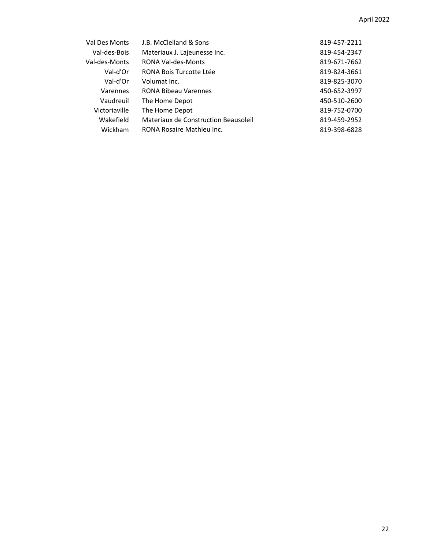| Val Des Monts | J.B. McClelland & Sons               | 819-457-2211 |
|---------------|--------------------------------------|--------------|
| Val-des-Bois  | Materiaux J. Lajeunesse Inc.         | 819-454-2347 |
| Val-des-Monts | RONA Val-des-Monts                   | 819-671-7662 |
| Val-d'Or      | RONA Bois Turcotte Ltée              | 819-824-3661 |
| Val-d'Or      | Volumat Inc.                         | 819-825-3070 |
| Varennes      | <b>RONA Bibeau Varennes</b>          | 450-652-3997 |
| Vaudreuil     | The Home Depot                       | 450-510-2600 |
| Victoriaville | The Home Depot                       | 819-752-0700 |
| Wakefield     | Materiaux de Construction Beausoleil | 819-459-2952 |
| Wickham       | RONA Rosaire Mathieu Inc.            | 819-398-6828 |